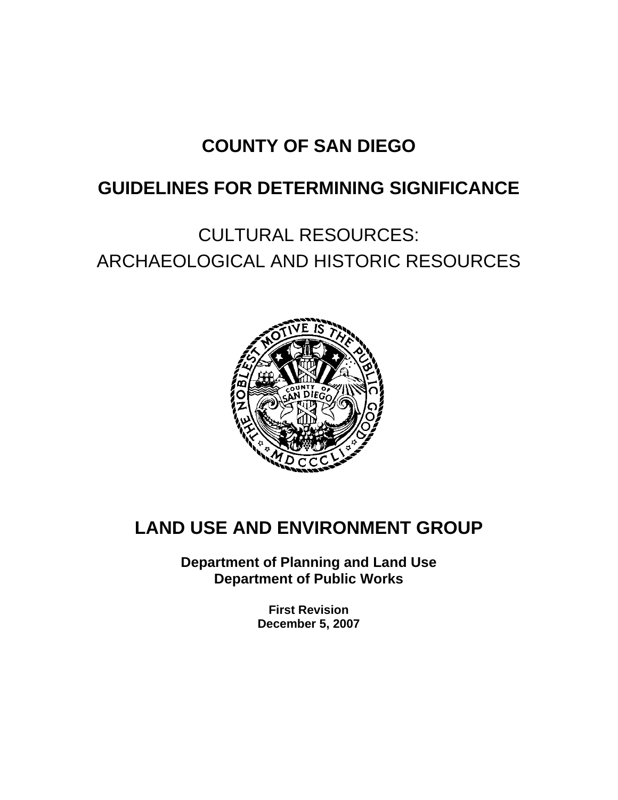# **COUNTY OF SAN DIEGO**

# **GUIDELINES FOR DETERMINING SIGNIFICANCE**

CULTURAL RESOURCES: ARCHAEOLOGICAL AND HISTORIC RESOURCES



# **LAND USE AND ENVIRONMENT GROUP**

**Department of Planning and Land Use Department of Public Works** 

> **First Revision December 5, 2007**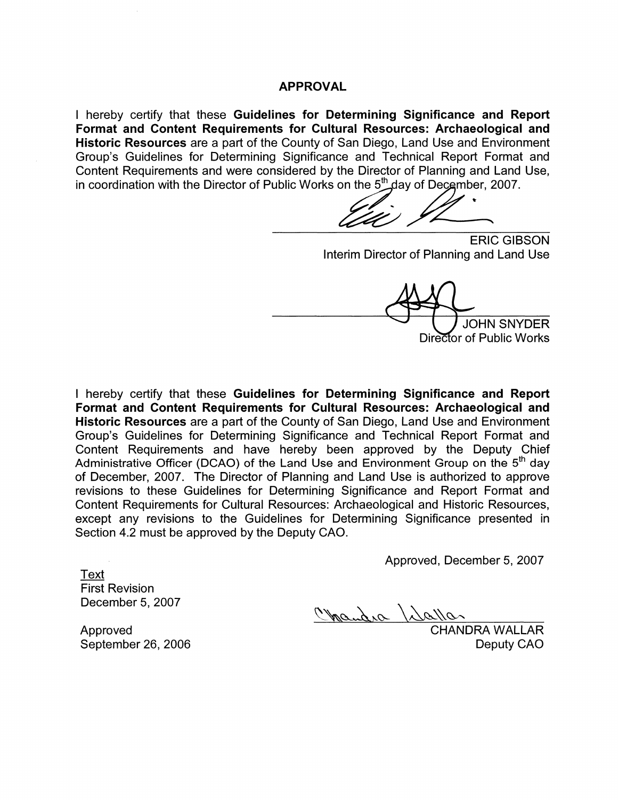#### **APPROVAL**

I hereby certify that these Guidelines for Determining Significance and Report Format and Content Requirements for Cultural Resources: Archaeological and Historic Resources are a part of the County of San Diego, Land Use and Environment Group's Guidelines for Determining Significance and Technical Report Format and Content Requirements and were considered by the Director of Planning and Land Use, in coordination with the Director of Public Works on the 5<sup>th</sup> day of December, 2007.

**ERIC GIBSON** Interim Director of Planning and Land Use

**JOHN SNYDER** Director of Public Works

I hereby certify that these Guidelines for Determining Significance and Report Format and Content Requirements for Cultural Resources: Archaeological and Historic Resources are a part of the County of San Diego, Land Use and Environment Group's Guidelines for Determining Significance and Technical Report Format and Content Requirements and have hereby been approved by the Deputy Chief Administrative Officer (DCAO) of the Land Use and Environment Group on the 5<sup>th</sup> day of December, 2007. The Director of Planning and Land Use is authorized to approve revisions to these Guidelines for Determining Significance and Report Format and Content Requirements for Cultural Resources: Archaeological and Historic Resources, except any revisions to the Guidelines for Determining Significance presented in Section 4.2 must be approved by the Deputy CAO.

Approved, December 5, 2007

Text **First Revision** December 5, 2007

Chandra / dallar

Approved September 26, 2006 **CHANDRA WALLAR** Deputy CAO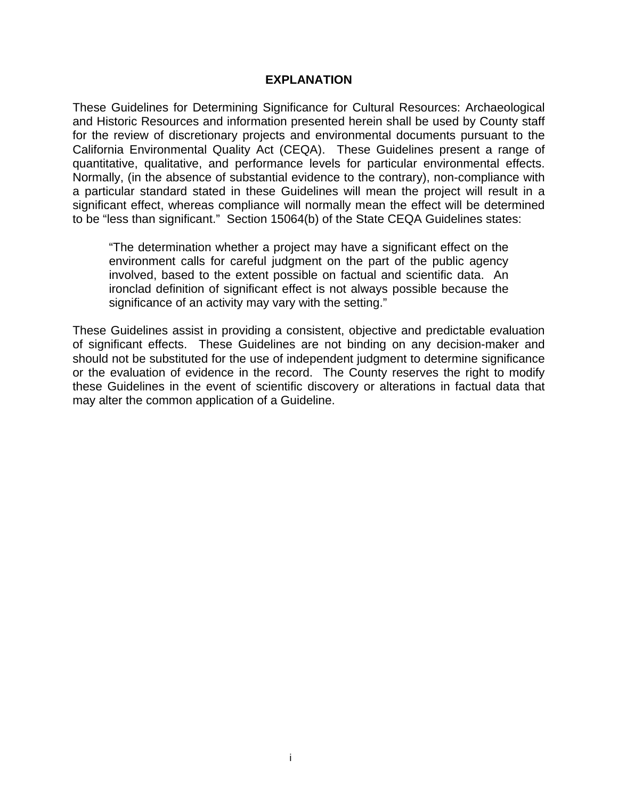### **EXPLANATION**

These Guidelines for Determining Significance for Cultural Resources: Archaeological and Historic Resources and information presented herein shall be used by County staff for the review of discretionary projects and environmental documents pursuant to the California Environmental Quality Act (CEQA). These Guidelines present a range of quantitative, qualitative, and performance levels for particular environmental effects. Normally, (in the absence of substantial evidence to the contrary), non-compliance with a particular standard stated in these Guidelines will mean the project will result in a significant effect, whereas compliance will normally mean the effect will be determined to be "less than significant." Section 15064(b) of the State CEQA Guidelines states:

"The determination whether a project may have a significant effect on the environment calls for careful judgment on the part of the public agency involved, based to the extent possible on factual and scientific data. An ironclad definition of significant effect is not always possible because the significance of an activity may vary with the setting."

These Guidelines assist in providing a consistent, objective and predictable evaluation of significant effects. These Guidelines are not binding on any decision-maker and should not be substituted for the use of independent judgment to determine significance or the evaluation of evidence in the record. The County reserves the right to modify these Guidelines in the event of scientific discovery or alterations in factual data that may alter the common application of a Guideline.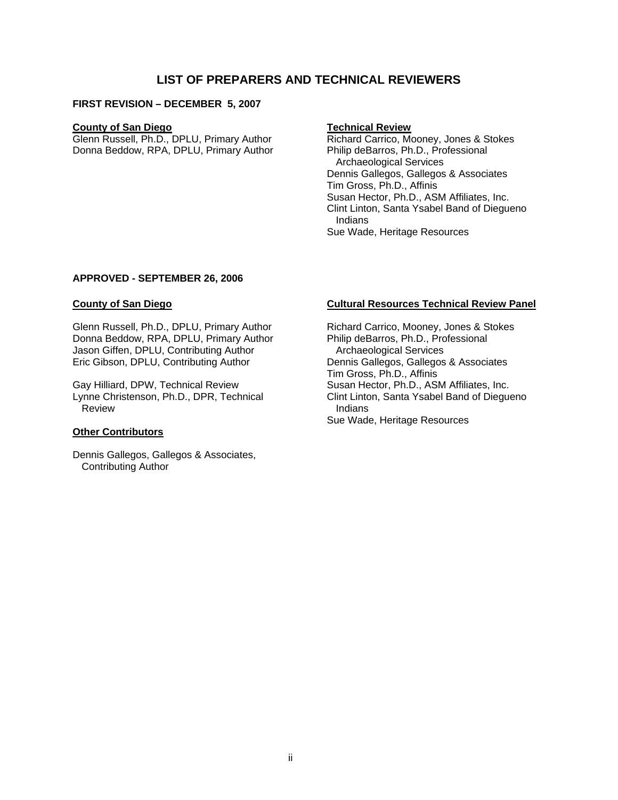# **LIST OF PREPARERS AND TECHNICAL REVIEWERS**

#### **FIRST REVISION – DECEMBER 5, 2007**

#### **County of San Diego**

Glenn Russell, Ph.D., DPLU, Primary Author Donna Beddow, RPA, DPLU, Primary Author

#### **Technical Review**

Richard Carrico, Mooney, Jones & Stokes Philip deBarros, Ph.D., Professional Archaeological Services Dennis Gallegos, Gallegos & Associates Tim Gross, Ph.D., Affinis Susan Hector, Ph.D., ASM Affiliates, Inc. Clint Linton, Santa Ysabel Band of Diegueno Indians Sue Wade, Heritage Resources

#### **APPROVED - SEPTEMBER 26, 2006**

#### **County of San Diego**

Glenn Russell, Ph.D., DPLU, Primary Author Donna Beddow, RPA, DPLU, Primary Author Jason Giffen, DPLU, Contributing Author Eric Gibson, DPLU, Contributing Author

Gay Hilliard, DPW, Technical Review Lynne Christenson, Ph.D., DPR, Technical Review

#### **Other Contributors**

Dennis Gallegos, Gallegos & Associates, Contributing Author

#### **Cultural Resources Technical Review Panel**

Richard Carrico, Mooney, Jones & Stokes Philip deBarros, Ph.D., Professional Archaeological Services Dennis Gallegos, Gallegos & Associates Tim Gross, Ph.D., Affinis Susan Hector, Ph.D., ASM Affiliates, Inc. Clint Linton, Santa Ysabel Band of Diegueno Indians Sue Wade, Heritage Resources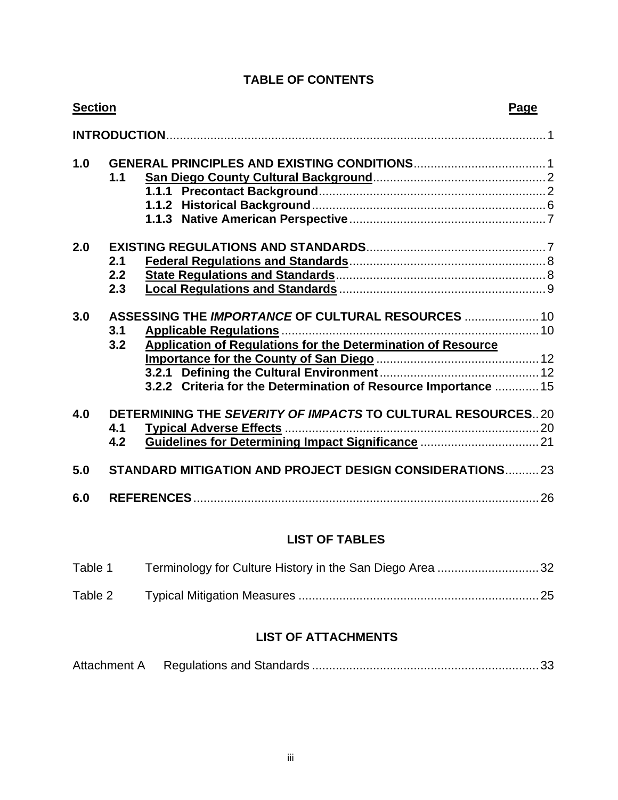| <b>TABLE OF CONTENTS</b> |  |  |  |
|--------------------------|--|--|--|
|--------------------------|--|--|--|

| <b>Section</b>                                                                                                                                                                                                                                      | Page |
|-----------------------------------------------------------------------------------------------------------------------------------------------------------------------------------------------------------------------------------------------------|------|
|                                                                                                                                                                                                                                                     |      |
| 1.0<br>1.1                                                                                                                                                                                                                                          |      |
| 2.0<br>2.1<br>2.2<br>2.3                                                                                                                                                                                                                            |      |
| ASSESSING THE IMPORTANCE OF CULTURAL RESOURCES  10<br>3.0<br>3.1<br><b>Applicable Regulations.</b><br>3.2<br><b>Application of Regulations for the Determination of Resource</b><br>3.2.2 Criteria for the Determination of Resource Importance  15 |      |
| DETERMINING THE SEVERITY OF IMPACTS TO CULTURAL RESOURCES20<br>4.0<br>4.1<br>4.2                                                                                                                                                                    |      |
| <b>STANDARD MITIGATION AND PROJECT DESIGN CONSIDERATIONS23</b><br>5.0                                                                                                                                                                               |      |
| 6.0                                                                                                                                                                                                                                                 |      |

# **LIST OF TABLES**

| Table 1 | Terminology for Culture History in the San Diego Area 32 |  |
|---------|----------------------------------------------------------|--|
| Table 2 |                                                          |  |

# **LIST OF ATTACHMENTS**

| Attachment A |  |  |
|--------------|--|--|
|--------------|--|--|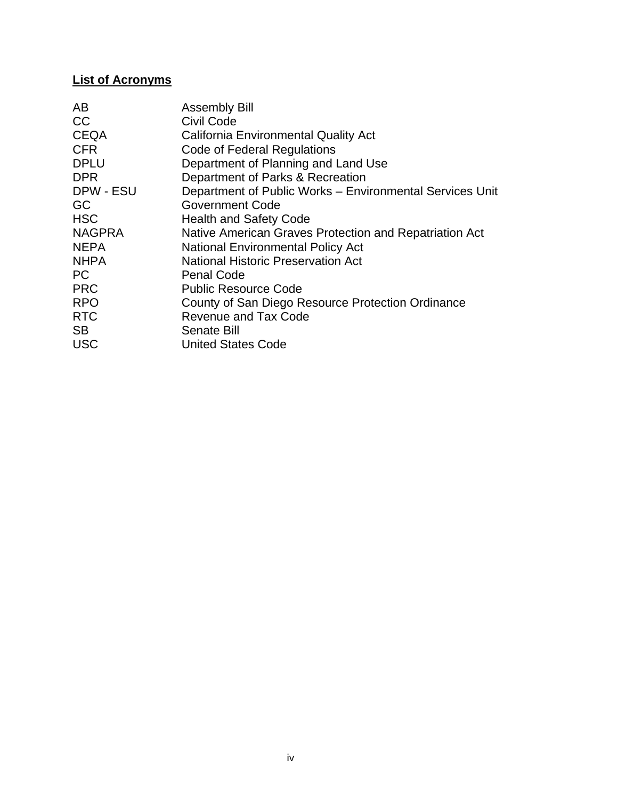# **List of Acronyms**

| AB            | <b>Assembly Bill</b>                                     |
|---------------|----------------------------------------------------------|
| <b>CC</b>     | Civil Code                                               |
| <b>CEQA</b>   | <b>California Environmental Quality Act</b>              |
| <b>CFR</b>    | Code of Federal Regulations                              |
| <b>DPLU</b>   | Department of Planning and Land Use                      |
| <b>DPR</b>    | Department of Parks & Recreation                         |
| DPW - ESU     | Department of Public Works - Environmental Services Unit |
| <b>GC</b>     | <b>Government Code</b>                                   |
| <b>HSC</b>    | <b>Health and Safety Code</b>                            |
| <b>NAGPRA</b> | Native American Graves Protection and Repatriation Act   |
| <b>NEPA</b>   | <b>National Environmental Policy Act</b>                 |
| <b>NHPA</b>   | <b>National Historic Preservation Act</b>                |
| PC            | <b>Penal Code</b>                                        |
| <b>PRC</b>    | <b>Public Resource Code</b>                              |
| <b>RPO</b>    | County of San Diego Resource Protection Ordinance        |
| <b>RTC</b>    | <b>Revenue and Tax Code</b>                              |
| <b>SB</b>     | Senate Bill                                              |
| <b>USC</b>    | <b>United States Code</b>                                |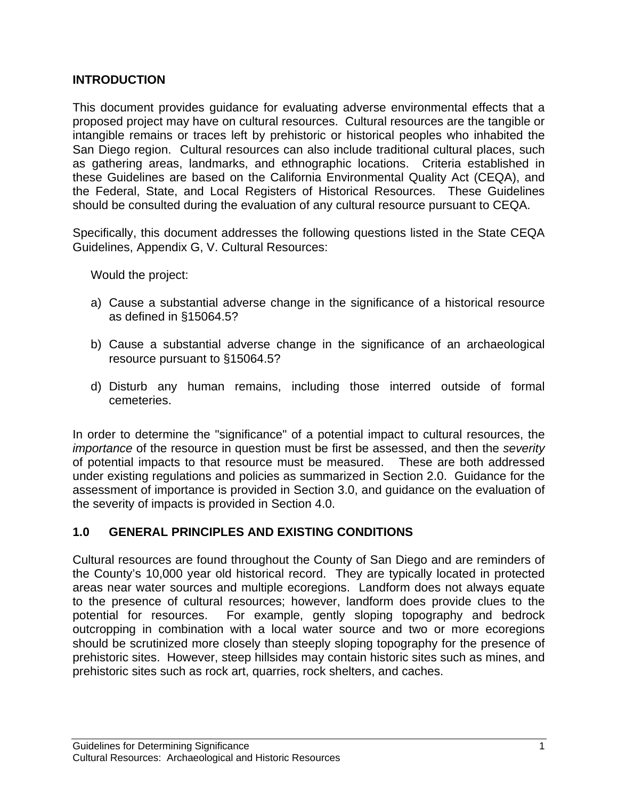# **INTRODUCTION**

This document provides guidance for evaluating adverse environmental effects that a proposed project may have on cultural resources. Cultural resources are the tangible or intangible remains or traces left by prehistoric or historical peoples who inhabited the San Diego region. Cultural resources can also include traditional cultural places, such as gathering areas, landmarks, and ethnographic locations. Criteria established in these Guidelines are based on the California Environmental Quality Act (CEQA), and the Federal, State, and Local Registers of Historical Resources. These Guidelines should be consulted during the evaluation of any cultural resource pursuant to CEQA.

Specifically, this document addresses the following questions listed in the State CEQA Guidelines, Appendix G, V. Cultural Resources:

Would the project:

- a) Cause a substantial adverse change in the significance of a historical resource as defined in §15064.5?
- b) Cause a substantial adverse change in the significance of an archaeological resource pursuant to §15064.5?
- d) Disturb any human remains, including those interred outside of formal cemeteries.

In order to determine the "significance" of a potential impact to cultural resources, the *importance* of the resource in question must be first be assessed, and then the *severity* of potential impacts to that resource must be measured. These are both addressed under existing regulations and policies as summarized in Section 2.0. Guidance for the assessment of importance is provided in Section 3.0, and guidance on the evaluation of the severity of impacts is provided in Section 4.0.

# **1.0 GENERAL PRINCIPLES AND EXISTING CONDITIONS**

Cultural resources are found throughout the County of San Diego and are reminders of the County's 10,000 year old historical record. They are typically located in protected areas near water sources and multiple ecoregions. Landform does not always equate to the presence of cultural resources; however, landform does provide clues to the potential for resources. For example, gently sloping topography and bedrock outcropping in combination with a local water source and two or more ecoregions should be scrutinized more closely than steeply sloping topography for the presence of prehistoric sites. However, steep hillsides may contain historic sites such as mines, and prehistoric sites such as rock art, quarries, rock shelters, and caches.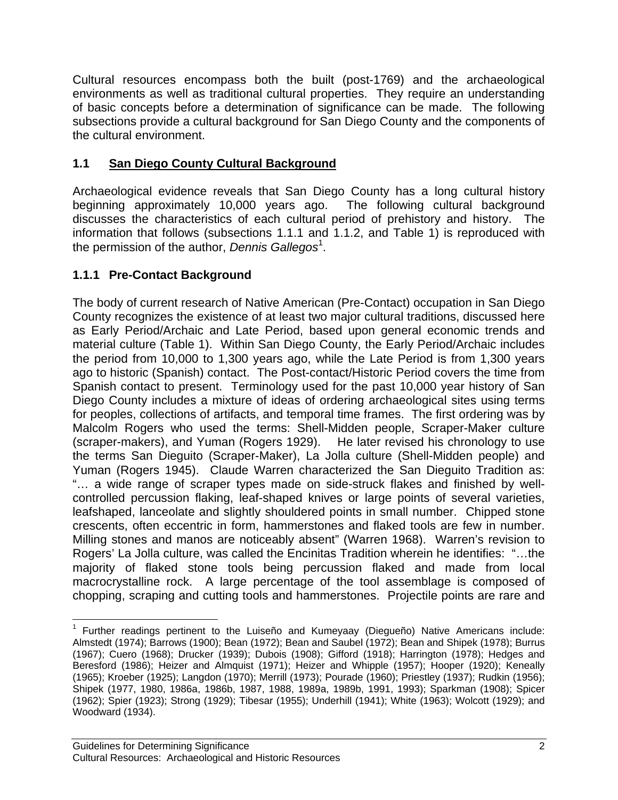Cultural resources encompass both the built (post-1769) and the archaeological environments as well as traditional cultural properties. They require an understanding of basic concepts before a determination of significance can be made. The following subsections provide a cultural background for San Diego County and the components of the cultural environment.

# **1.1 San Diego County Cultural Background**

Archaeological evidence reveals that San Diego County has a long cultural history beginning approximately 10,000 years ago. The following cultural background discusses the characteristics of each cultural period of prehistory and history. The information that follows (subsections 1.1.1 and 1.1.2, and Table 1) is reproduced with the permission of the author, *Dennis Gallegos*<sup>1</sup>.

# **1.1.1 Pre-Contact Background**

The body of current research of Native American (Pre-Contact) occupation in San Diego County recognizes the existence of at least two major cultural traditions, discussed here as Early Period/Archaic and Late Period, based upon general economic trends and material culture (Table 1). Within San Diego County, the Early Period/Archaic includes the period from 10,000 to 1,300 years ago, while the Late Period is from 1,300 years ago to historic (Spanish) contact. The Post-contact/Historic Period covers the time from Spanish contact to present. Terminology used for the past 10,000 year history of San Diego County includes a mixture of ideas of ordering archaeological sites using terms for peoples, collections of artifacts, and temporal time frames. The first ordering was by Malcolm Rogers who used the terms: Shell-Midden people, Scraper-Maker culture (scraper-makers), and Yuman (Rogers 1929). He later revised his chronology to use the terms San Dieguito (Scraper-Maker), La Jolla culture (Shell-Midden people) and Yuman (Rogers 1945). Claude Warren characterized the San Dieguito Tradition as: "… a wide range of scraper types made on side-struck flakes and finished by wellcontrolled percussion flaking, leaf-shaped knives or large points of several varieties, leafshaped, lanceolate and slightly shouldered points in small number. Chipped stone crescents, often eccentric in form, hammerstones and flaked tools are few in number. Milling stones and manos are noticeably absent" (Warren 1968). Warren's revision to Rogers' La Jolla culture, was called the Encinitas Tradition wherein he identifies: "…the majority of flaked stone tools being percussion flaked and made from local macrocrystalline rock. A large percentage of the tool assemblage is composed of chopping, scraping and cutting tools and hammerstones. Projectile points are rare and

<sup>1</sup> <sup>1</sup> Further readings pertinent to the Luiseño and Kumeyaay (Diegueño) Native Americans include: Almstedt (1974); Barrows (1900); Bean (1972); Bean and Saubel (1972); Bean and Shipek (1978); Burrus (1967); Cuero (1968); Drucker (1939); Dubois (1908); Gifford (1918); Harrington (1978); Hedges and Beresford (1986); Heizer and Almquist (1971); Heizer and Whipple (1957); Hooper (1920); Keneally (1965); Kroeber (1925); Langdon (1970); Merrill (1973); Pourade (1960); Priestley (1937); Rudkin (1956); Shipek (1977, 1980, 1986a, 1986b, 1987, 1988, 1989a, 1989b, 1991, 1993); Sparkman (1908); Spicer (1962); Spier (1923); Strong (1929); Tibesar (1955); Underhill (1941); White (1963); Wolcott (1929); and Woodward (1934).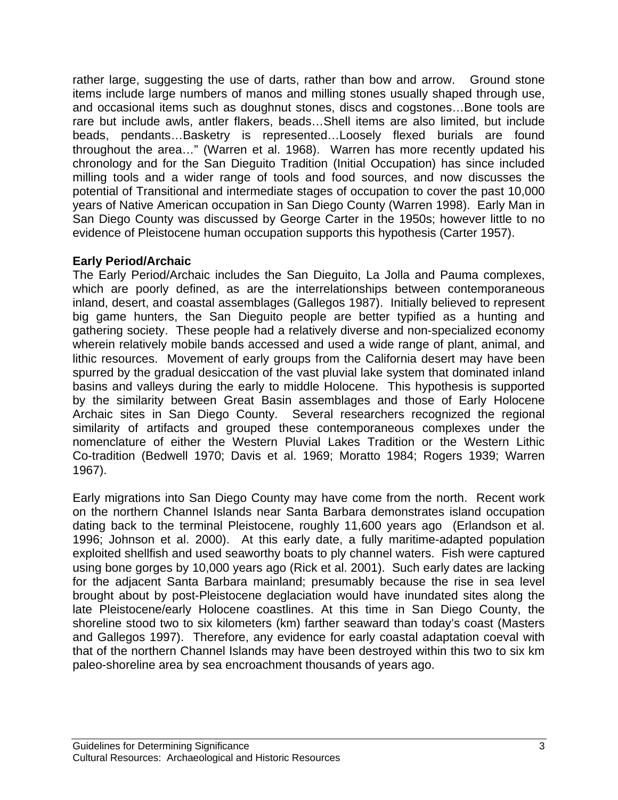rather large, suggesting the use of darts, rather than bow and arrow. Ground stone items include large numbers of manos and milling stones usually shaped through use, and occasional items such as doughnut stones, discs and cogstones…Bone tools are rare but include awls, antler flakers, beads…Shell items are also limited, but include beads, pendants…Basketry is represented…Loosely flexed burials are found throughout the area…" (Warren et al. 1968). Warren has more recently updated his chronology and for the San Dieguito Tradition (Initial Occupation) has since included milling tools and a wider range of tools and food sources, and now discusses the potential of Transitional and intermediate stages of occupation to cover the past 10,000 years of Native American occupation in San Diego County (Warren 1998). Early Man in San Diego County was discussed by George Carter in the 1950s; however little to no evidence of Pleistocene human occupation supports this hypothesis (Carter 1957).

# **Early Period/Archaic**

The Early Period/Archaic includes the San Dieguito, La Jolla and Pauma complexes, which are poorly defined, as are the interrelationships between contemporaneous inland, desert, and coastal assemblages (Gallegos 1987). Initially believed to represent big game hunters, the San Dieguito people are better typified as a hunting and gathering society. These people had a relatively diverse and non-specialized economy wherein relatively mobile bands accessed and used a wide range of plant, animal, and lithic resources. Movement of early groups from the California desert may have been spurred by the gradual desiccation of the vast pluvial lake system that dominated inland basins and valleys during the early to middle Holocene. This hypothesis is supported by the similarity between Great Basin assemblages and those of Early Holocene Archaic sites in San Diego County. Several researchers recognized the regional similarity of artifacts and grouped these contemporaneous complexes under the nomenclature of either the Western Pluvial Lakes Tradition or the Western Lithic Co-tradition (Bedwell 1970; Davis et al. 1969; Moratto 1984; Rogers 1939; Warren 1967).

Early migrations into San Diego County may have come from the north. Recent work on the northern Channel Islands near Santa Barbara demonstrates island occupation dating back to the terminal Pleistocene, roughly 11,600 years ago (Erlandson et al. 1996; Johnson et al. 2000). At this early date, a fully maritime-adapted population exploited shellfish and used seaworthy boats to ply channel waters. Fish were captured using bone gorges by 10,000 years ago (Rick et al. 2001). Such early dates are lacking for the adjacent Santa Barbara mainland; presumably because the rise in sea level brought about by post-Pleistocene deglaciation would have inundated sites along the late Pleistocene/early Holocene coastlines. At this time in San Diego County, the shoreline stood two to six kilometers (km) farther seaward than today's coast (Masters and Gallegos 1997). Therefore, any evidence for early coastal adaptation coeval with that of the northern Channel Islands may have been destroyed within this two to six km paleo-shoreline area by sea encroachment thousands of years ago.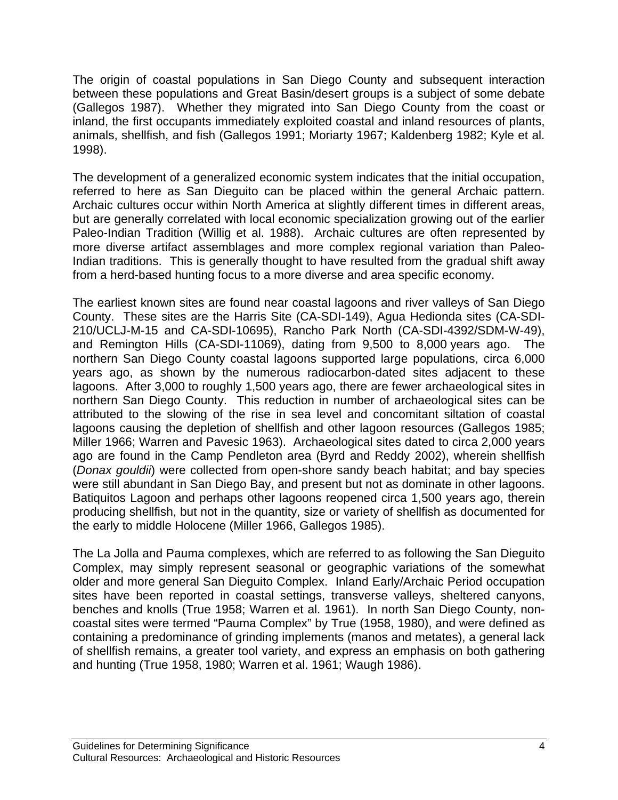The origin of coastal populations in San Diego County and subsequent interaction between these populations and Great Basin/desert groups is a subject of some debate (Gallegos 1987). Whether they migrated into San Diego County from the coast or inland, the first occupants immediately exploited coastal and inland resources of plants, animals, shellfish, and fish (Gallegos 1991; Moriarty 1967; Kaldenberg 1982; Kyle et al. 1998).

The development of a generalized economic system indicates that the initial occupation, referred to here as San Dieguito can be placed within the general Archaic pattern. Archaic cultures occur within North America at slightly different times in different areas, but are generally correlated with local economic specialization growing out of the earlier Paleo-Indian Tradition (Willig et al. 1988). Archaic cultures are often represented by more diverse artifact assemblages and more complex regional variation than Paleo-Indian traditions. This is generally thought to have resulted from the gradual shift away from a herd-based hunting focus to a more diverse and area specific economy.

The earliest known sites are found near coastal lagoons and river valleys of San Diego County. These sites are the Harris Site (CA-SDI-149), Agua Hedionda sites (CA-SDI-210/UCLJ-M-15 and CA-SDI-10695), Rancho Park North (CA-SDI-4392/SDM-W-49), and Remington Hills (CA-SDI-11069), dating from 9,500 to 8,000 years ago. The northern San Diego County coastal lagoons supported large populations, circa 6,000 years ago, as shown by the numerous radiocarbon-dated sites adjacent to these lagoons. After 3,000 to roughly 1,500 years ago, there are fewer archaeological sites in northern San Diego County. This reduction in number of archaeological sites can be attributed to the slowing of the rise in sea level and concomitant siltation of coastal lagoons causing the depletion of shellfish and other lagoon resources (Gallegos 1985; Miller 1966; Warren and Pavesic 1963). Archaeological sites dated to circa 2,000 years ago are found in the Camp Pendleton area (Byrd and Reddy 2002), wherein shellfish (*Donax gouldii*) were collected from open-shore sandy beach habitat; and bay species were still abundant in San Diego Bay, and present but not as dominate in other lagoons. Batiquitos Lagoon and perhaps other lagoons reopened circa 1,500 years ago, therein producing shellfish, but not in the quantity, size or variety of shellfish as documented for the early to middle Holocene (Miller 1966, Gallegos 1985).

The La Jolla and Pauma complexes, which are referred to as following the San Dieguito Complex, may simply represent seasonal or geographic variations of the somewhat older and more general San Dieguito Complex. Inland Early/Archaic Period occupation sites have been reported in coastal settings, transverse valleys, sheltered canyons, benches and knolls (True 1958; Warren et al. 1961). In north San Diego County, noncoastal sites were termed "Pauma Complex" by True (1958, 1980), and were defined as containing a predominance of grinding implements (manos and metates), a general lack of shellfish remains, a greater tool variety, and express an emphasis on both gathering and hunting (True 1958, 1980; Warren et al. 1961; Waugh 1986).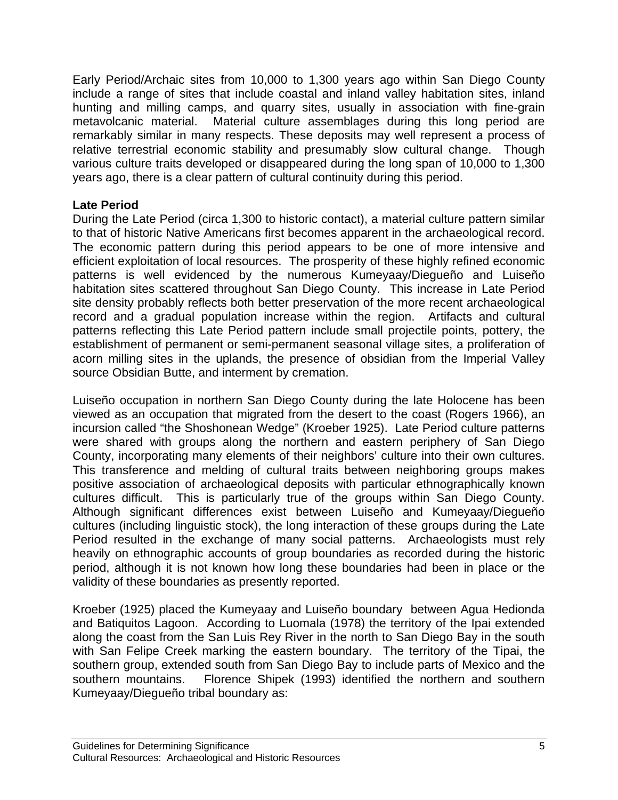Early Period/Archaic sites from 10,000 to 1,300 years ago within San Diego County include a range of sites that include coastal and inland valley habitation sites, inland hunting and milling camps, and quarry sites, usually in association with fine-grain metavolcanic material. Material culture assemblages during this long period are remarkably similar in many respects. These deposits may well represent a process of relative terrestrial economic stability and presumably slow cultural change. Though various culture traits developed or disappeared during the long span of 10,000 to 1,300 years ago, there is a clear pattern of cultural continuity during this period.

# **Late Period**

During the Late Period (circa 1,300 to historic contact), a material culture pattern similar to that of historic Native Americans first becomes apparent in the archaeological record. The economic pattern during this period appears to be one of more intensive and efficient exploitation of local resources. The prosperity of these highly refined economic patterns is well evidenced by the numerous Kumeyaay/Diegueño and Luiseño habitation sites scattered throughout San Diego County. This increase in Late Period site density probably reflects both better preservation of the more recent archaeological record and a gradual population increase within the region. Artifacts and cultural patterns reflecting this Late Period pattern include small projectile points, pottery, the establishment of permanent or semi-permanent seasonal village sites, a proliferation of acorn milling sites in the uplands, the presence of obsidian from the Imperial Valley source Obsidian Butte, and interment by cremation.

Luiseño occupation in northern San Diego County during the late Holocene has been viewed as an occupation that migrated from the desert to the coast (Rogers 1966), an incursion called "the Shoshonean Wedge" (Kroeber 1925). Late Period culture patterns were shared with groups along the northern and eastern periphery of San Diego County, incorporating many elements of their neighbors' culture into their own cultures. This transference and melding of cultural traits between neighboring groups makes positive association of archaeological deposits with particular ethnographically known cultures difficult. This is particularly true of the groups within San Diego County. Although significant differences exist between Luiseño and Kumeyaay/Diegueño cultures (including linguistic stock), the long interaction of these groups during the Late Period resulted in the exchange of many social patterns. Archaeologists must rely heavily on ethnographic accounts of group boundaries as recorded during the historic period, although it is not known how long these boundaries had been in place or the validity of these boundaries as presently reported.

Kroeber (1925) placed the Kumeyaay and Luiseño boundary between Agua Hedionda and Batiquitos Lagoon. According to Luomala (1978) the territory of the Ipai extended along the coast from the San Luis Rey River in the north to San Diego Bay in the south with San Felipe Creek marking the eastern boundary. The territory of the Tipai, the southern group, extended south from San Diego Bay to include parts of Mexico and the southern mountains. Florence Shipek (1993) identified the northern and southern Kumeyaay/Diegueño tribal boundary as: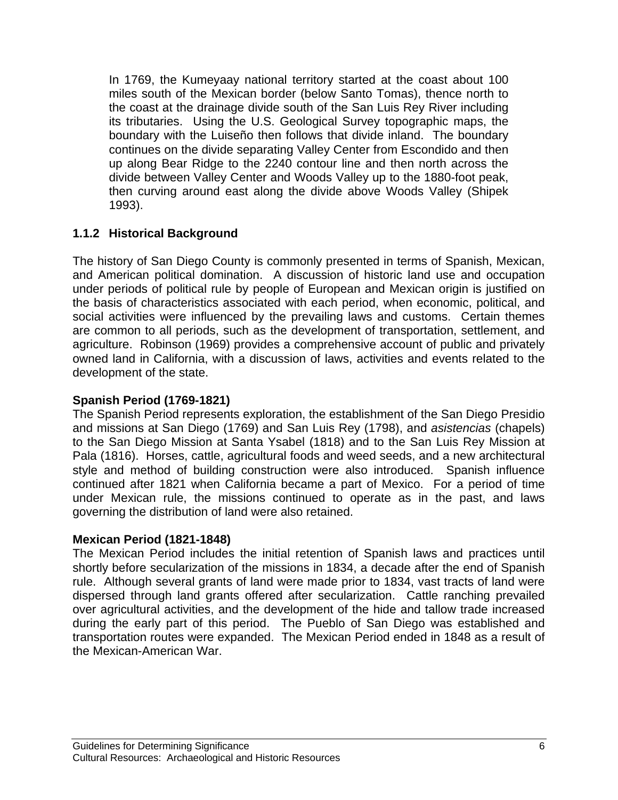In 1769, the Kumeyaay national territory started at the coast about 100 miles south of the Mexican border (below Santo Tomas), thence north to the coast at the drainage divide south of the San Luis Rey River including its tributaries. Using the U.S. Geological Survey topographic maps, the boundary with the Luiseño then follows that divide inland. The boundary continues on the divide separating Valley Center from Escondido and then up along Bear Ridge to the 2240 contour line and then north across the divide between Valley Center and Woods Valley up to the 1880-foot peak, then curving around east along the divide above Woods Valley (Shipek 1993).

# **1.1.2 Historical Background**

The history of San Diego County is commonly presented in terms of Spanish, Mexican, and American political domination. A discussion of historic land use and occupation under periods of political rule by people of European and Mexican origin is justified on the basis of characteristics associated with each period, when economic, political, and social activities were influenced by the prevailing laws and customs. Certain themes are common to all periods, such as the development of transportation, settlement, and agriculture. Robinson (1969) provides a comprehensive account of public and privately owned land in California, with a discussion of laws, activities and events related to the development of the state.

# **Spanish Period (1769-1821)**

The Spanish Period represents exploration, the establishment of the San Diego Presidio and missions at San Diego (1769) and San Luis Rey (1798), and *asistencias* (chapels) to the San Diego Mission at Santa Ysabel (1818) and to the San Luis Rey Mission at Pala (1816). Horses, cattle, agricultural foods and weed seeds, and a new architectural style and method of building construction were also introduced. Spanish influence continued after 1821 when California became a part of Mexico. For a period of time under Mexican rule, the missions continued to operate as in the past, and laws governing the distribution of land were also retained.

# **Mexican Period (1821-1848)**

The Mexican Period includes the initial retention of Spanish laws and practices until shortly before secularization of the missions in 1834, a decade after the end of Spanish rule. Although several grants of land were made prior to 1834, vast tracts of land were dispersed through land grants offered after secularization. Cattle ranching prevailed over agricultural activities, and the development of the hide and tallow trade increased during the early part of this period. The Pueblo of San Diego was established and transportation routes were expanded. The Mexican Period ended in 1848 as a result of the Mexican-American War.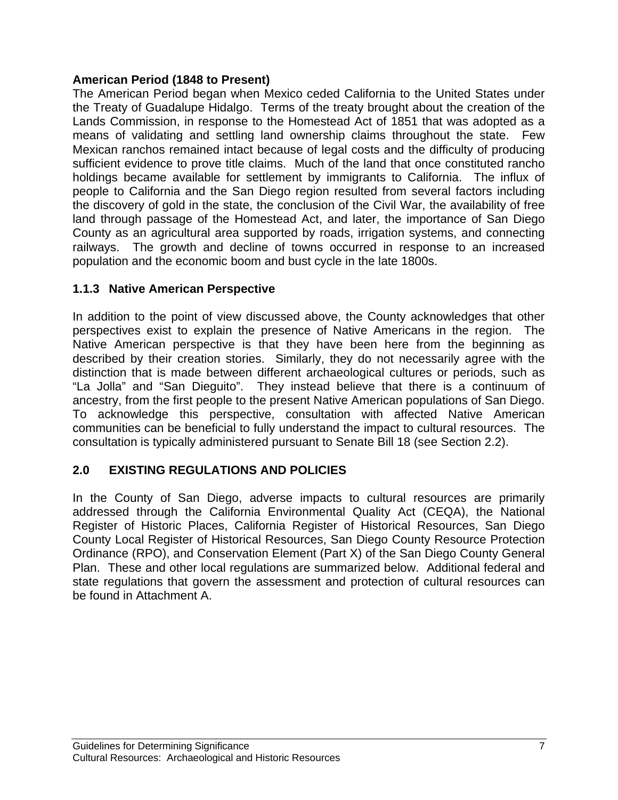# **American Period (1848 to Present)**

The American Period began when Mexico ceded California to the United States under the Treaty of Guadalupe Hidalgo. Terms of the treaty brought about the creation of the Lands Commission, in response to the Homestead Act of 1851 that was adopted as a means of validating and settling land ownership claims throughout the state. Few Mexican ranchos remained intact because of legal costs and the difficulty of producing sufficient evidence to prove title claims. Much of the land that once constituted rancho holdings became available for settlement by immigrants to California. The influx of people to California and the San Diego region resulted from several factors including the discovery of gold in the state, the conclusion of the Civil War, the availability of free land through passage of the Homestead Act, and later, the importance of San Diego County as an agricultural area supported by roads, irrigation systems, and connecting railways. The growth and decline of towns occurred in response to an increased population and the economic boom and bust cycle in the late 1800s.

# **1.1.3 Native American Perspective**

In addition to the point of view discussed above, the County acknowledges that other perspectives exist to explain the presence of Native Americans in the region. The Native American perspective is that they have been here from the beginning as described by their creation stories. Similarly, they do not necessarily agree with the distinction that is made between different archaeological cultures or periods, such as "La Jolla" and "San Dieguito". They instead believe that there is a continuum of ancestry, from the first people to the present Native American populations of San Diego. To acknowledge this perspective, consultation with affected Native American communities can be beneficial to fully understand the impact to cultural resources. The consultation is typically administered pursuant to Senate Bill 18 (see Section 2.2).

# **2.0 EXISTING REGULATIONS AND POLICIES**

In the County of San Diego, adverse impacts to cultural resources are primarily addressed through the California Environmental Quality Act (CEQA), the National Register of Historic Places, California Register of Historical Resources, San Diego County Local Register of Historical Resources, San Diego County Resource Protection Ordinance (RPO), and Conservation Element (Part X) of the San Diego County General Plan. These and other local regulations are summarized below. Additional federal and state regulations that govern the assessment and protection of cultural resources can be found in Attachment A.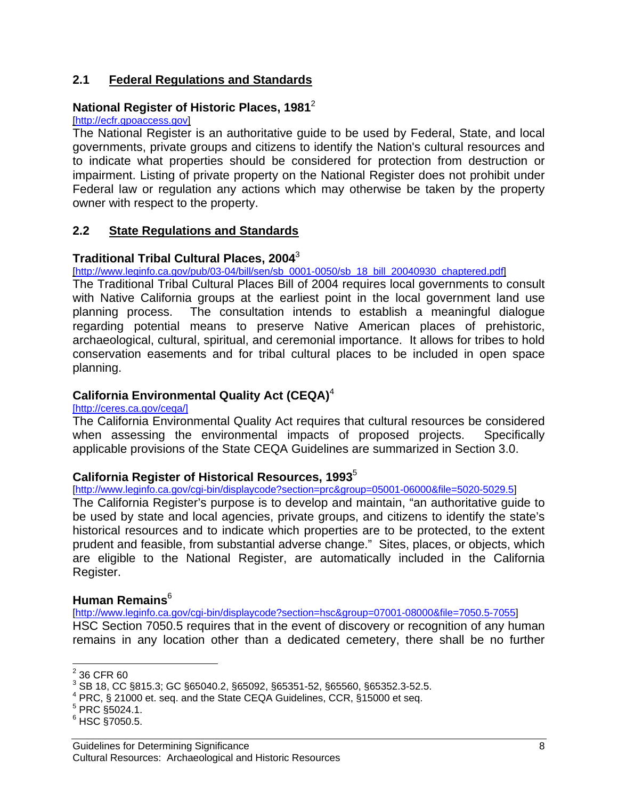# **2.1 Federal Regulations and Standards**

# National Register of Historic Places, 1981<sup>2</sup><br>[http://ecfr.gpoaccess.gov]

The National Register is an authoritative guide to be used by Federal, State, and local governments, private groups and citizens to identify the Nation's cultural resources and to indicate what properties should be considered for protection from destruction or impairment. Listing of private property on the National Register does not prohibit under Federal law or regulation any actions which may otherwise be taken by the property owner with respect to the property.

### **2.2 State Regulations and Standards**

### **Traditional Tribal Cultural Places, 2004**<sup>3</sup>

[http://www.leginfo.ca.gov/pub/03-04/bill/sen/sb\_0001-0050/sb\_18\_bill\_20040930\_chaptered.pdf]

The Traditional Tribal Cultural Places Bill of 2004 requires local governments to consult with Native California groups at the earliest point in the local government land use planning process. The consultation intends to establish a meaningful dialogue regarding potential means to preserve Native American places of prehistoric, archaeological, cultural, spiritual, and ceremonial importance. It allows for tribes to hold conservation easements and for tribal cultural places to be included in open space planning.

# **California Environmental Quality Act (CEQA)**<sup>4</sup>

[http://ceres.ca.gov/ceqa/]

The California Environmental Quality Act requires that cultural resources be considered when assessing the environmental impacts of proposed projects. Specifically applicable provisions of the State CEQA Guidelines are summarized in Section 3.0.

### **California Register of Historical Resources, 1993**<sup>5</sup>

[http://www.leginfo.ca.gov/cgi-bin/displaycode?section=prc&group=05001-06000&file=5020-5029.5]

The California Register's purpose is to develop and maintain, "an authoritative guide to be used by state and local agencies, private groups, and citizens to identify the state's historical resources and to indicate which properties are to be protected, to the extent prudent and feasible, from substantial adverse change." Sites, places, or objects, which are eligible to the National Register, are automatically included in the California Register.

# **Human Remains**<sup>6</sup>

[http://www.leginfo.ca.gov/cgi-bin/displaycode?section=hsc&group=07001-08000&file=7050.5-7055] HSC Section 7050.5 requires that in the event of discovery or recognition of any human remains in any location other than a dedicated cemetery, there shall be no further

 $\frac{1}{2}$  36 CFR 60

<sup>3</sup> SB 18, CC §815.3; GC §65040.2, §65092, §65351-52, §65560, §65352.3-52.5.

<sup>&</sup>lt;sup>4</sup> PRC, § 21000 et. seq. and the State CEQA Guidelines, CCR, §15000 et seq.

 $5$  PRC  $\S$ 5024.1.

<sup>6</sup> HSC §7050.5.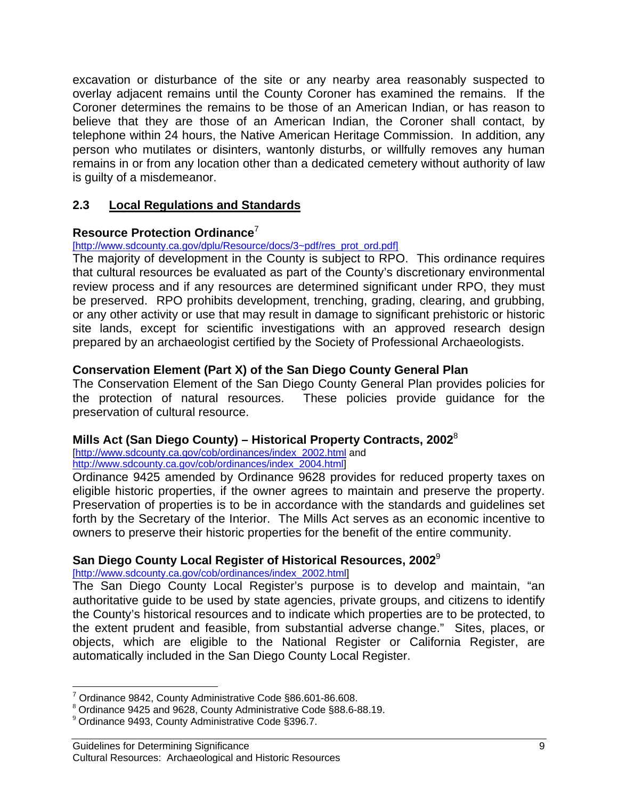excavation or disturbance of the site or any nearby area reasonably suspected to overlay adjacent remains until the County Coroner has examined the remains. If the Coroner determines the remains to be those of an American Indian, or has reason to believe that they are those of an American Indian, the Coroner shall contact, by telephone within 24 hours, the Native American Heritage Commission. In addition, any person who mutilates or disinters, wantonly disturbs, or willfully removes any human remains in or from any location other than a dedicated cemetery without authority of law is guilty of a misdemeanor.

# **2.3 Local Regulations and Standards**

# **Resource Protection Ordinance**<sup>7</sup>

[http://www.sdcounty.ca.gov/dplu/Resource/docs/3~pdf/res\_prot\_ord.pdf]

The majority of development in the County is subject to RPO. This ordinance requires that cultural resources be evaluated as part of the County's discretionary environmental review process and if any resources are determined significant under RPO, they must be preserved. RPO prohibits development, trenching, grading, clearing, and grubbing, or any other activity or use that may result in damage to significant prehistoric or historic site lands, except for scientific investigations with an approved research design prepared by an archaeologist certified by the Society of Professional Archaeologists.

# **Conservation Element (Part X) of the San Diego County General Plan**

The Conservation Element of the San Diego County General Plan provides policies for the protection of natural resources. These policies provide guidance for the preservation of cultural resource.

# **Mills Act (San Diego County) – Historical Property Contracts, 2002**<sup>8</sup>

[http://www.sdcounty.ca.gov/cob/ordinances/index\_2002.html and http://www.sdcounty.ca.gov/cob/ordinances/index\_2004.html]

Ordinance 9425 amended by Ordinance 9628 provides for reduced property taxes on eligible historic properties, if the owner agrees to maintain and preserve the property. Preservation of properties is to be in accordance with the standards and guidelines set forth by the Secretary of the Interior. The Mills Act serves as an economic incentive to owners to preserve their historic properties for the benefit of the entire community.

# **San Diego County Local Register of Historical Resources, 2002**<sup>9</sup>

[http://www.sdcounty.ca.gov/cob/ordinances/index\_2002.html]

The San Diego County Local Register's purpose is to develop and maintain, "an authoritative guide to be used by state agencies, private groups, and citizens to identify the County's historical resources and to indicate which properties are to be protected, to the extent prudent and feasible, from substantial adverse change." Sites, places, or objects, which are eligible to the National Register or California Register, are automatically included in the San Diego County Local Register.

 $\overline{a}$ <sup>7</sup> Ordinance 9842, County Administrative Code §86.601-86.608.

<sup>8</sup> Ordinance 9425 and 9628, County Administrative Code §88.6-88.19.

<sup>9</sup> Ordinance 9493, County Administrative Code §396.7.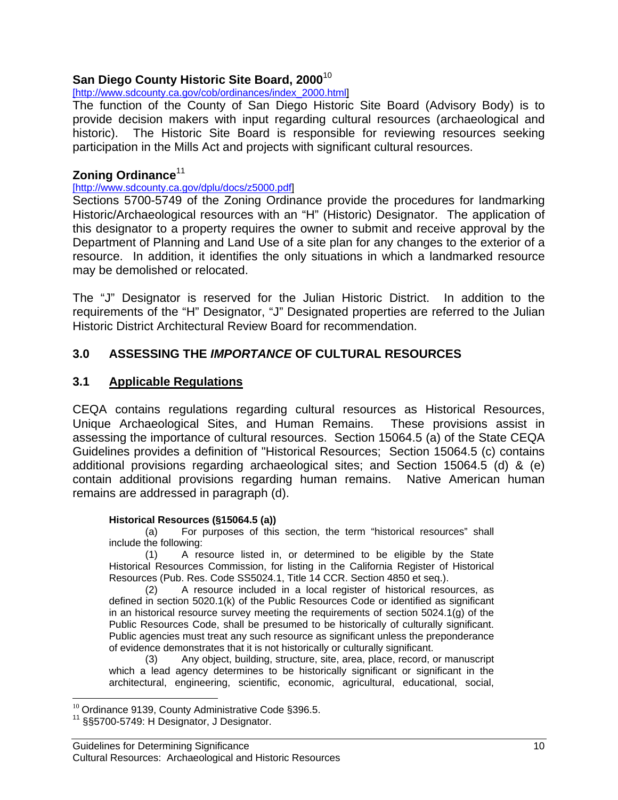# **San Diego County Historic Site Board, 2000**<sup>10</sup>

### [http://www.sdcounty.ca.gov/cob/ordinances/index\_2000.html]

The function of the County of San Diego Historic Site Board (Advisory Body) is to provide decision makers with input regarding cultural resources (archaeological and historic). The Historic Site Board is responsible for reviewing resources seeking participation in the Mills Act and projects with significant cultural resources.

# **Zoning Ordinance**<sup>11</sup>

### [http://www.sdcounty.ca.gov/dplu/docs/z5000.pdf]

Sections 5700-5749 of the Zoning Ordinance provide the procedures for landmarking Historic/Archaeological resources with an "H" (Historic) Designator. The application of this designator to a property requires the owner to submit and receive approval by the Department of Planning and Land Use of a site plan for any changes to the exterior of a resource. In addition, it identifies the only situations in which a landmarked resource may be demolished or relocated.

The "J" Designator is reserved for the Julian Historic District. In addition to the requirements of the "H" Designator, "J" Designated properties are referred to the Julian Historic District Architectural Review Board for recommendation.

# **3.0 ASSESSING THE** *IMPORTANCE* **OF CULTURAL RESOURCES**

# **3.1 Applicable Regulations**

CEQA contains regulations regarding cultural resources as Historical Resources, Unique Archaeological Sites, and Human Remains. These provisions assist in assessing the importance of cultural resources. Section 15064.5 (a) of the State CEQA Guidelines provides a definition of "Historical Resources; Section 15064.5 (c) contains additional provisions regarding archaeological sites; and Section 15064.5 (d) & (e) contain additional provisions regarding human remains. Native American human remains are addressed in paragraph (d).

### **Historical Resources (§15064.5 (a))**

(a) For purposes of this section, the term "historical resources" shall include the following:

(1) A resource listed in, or determined to be eligible by the State Historical Resources Commission, for listing in the California Register of Historical Resources (Pub. Res. Code SS5024.1, Title 14 CCR. Section 4850 et seq.).

(2) A resource included in a local register of historical resources, as defined in section 5020.1(k) of the Public Resources Code or identified as significant in an historical resource survey meeting the requirements of section 5024.1(g) of the Public Resources Code, shall be presumed to be historically of culturally significant. Public agencies must treat any such resource as significant unless the preponderance of evidence demonstrates that it is not historically or culturally significant.

(3) Any object, building, structure, site, area, place, record, or manuscript which a lead agency determines to be historically significant or significant in the architectural, engineering, scientific, economic, agricultural, educational, social,

 $\overline{a}$ 

<sup>&</sup>lt;sup>10</sup> Ordinance 9139, County Administrative Code §396.5.<br><sup>11</sup> §§5700-5749: H Designator, J Designator.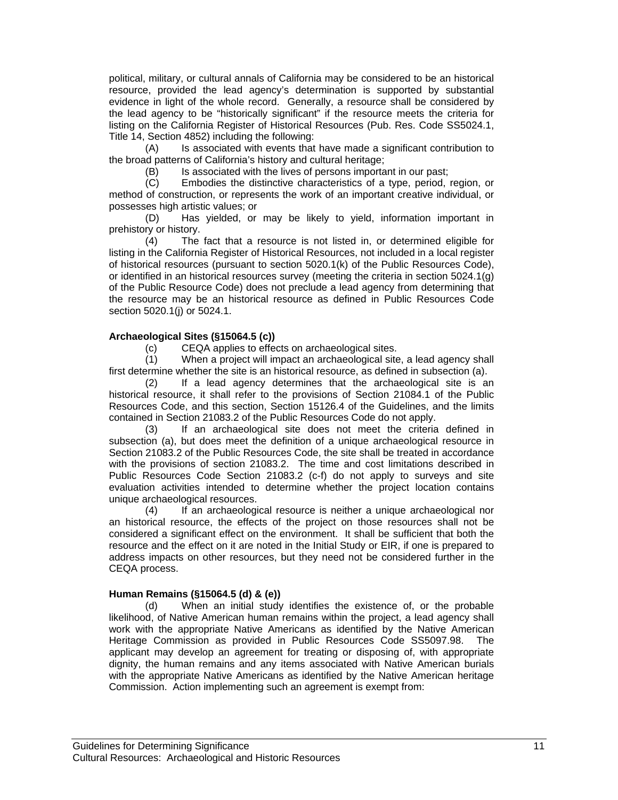political, military, or cultural annals of California may be considered to be an historical resource, provided the lead agency's determination is supported by substantial evidence in light of the whole record. Generally, a resource shall be considered by the lead agency to be "historically significant" if the resource meets the criteria for listing on the California Register of Historical Resources (Pub. Res. Code SS5024.1, Title 14, Section 4852) including the following:

(A) Is associated with events that have made a significant contribution to the broad patterns of California's history and cultural heritage;

(B) Is associated with the lives of persons important in our past;

(C) Embodies the distinctive characteristics of a type, period, region, or method of construction, or represents the work of an important creative individual, or possesses high artistic values; or

(D) Has yielded, or may be likely to yield, information important in prehistory or history.

(4) The fact that a resource is not listed in, or determined eligible for listing in the California Register of Historical Resources, not included in a local register of historical resources (pursuant to section 5020.1(k) of the Public Resources Code), or identified in an historical resources survey (meeting the criteria in section 5024.1(g) of the Public Resource Code) does not preclude a lead agency from determining that the resource may be an historical resource as defined in Public Resources Code section 5020.1(j) or 5024.1.

#### **Archaeological Sites (§15064.5 (c))**

(c) CEQA applies to effects on archaeological sites.

(1) When a project will impact an archaeological site, a lead agency shall first determine whether the site is an historical resource, as defined in subsection (a).

(2) If a lead agency determines that the archaeological site is an historical resource, it shall refer to the provisions of Section 21084.1 of the Public Resources Code, and this section, Section 15126.4 of the Guidelines, and the limits contained in Section 21083.2 of the Public Resources Code do not apply.

(3) If an archaeological site does not meet the criteria defined in subsection (a), but does meet the definition of a unique archaeological resource in Section 21083.2 of the Public Resources Code, the site shall be treated in accordance with the provisions of section 21083.2. The time and cost limitations described in Public Resources Code Section 21083.2 (c-f) do not apply to surveys and site evaluation activities intended to determine whether the project location contains unique archaeological resources.

(4) If an archaeological resource is neither a unique archaeological nor an historical resource, the effects of the project on those resources shall not be considered a significant effect on the environment. It shall be sufficient that both the resource and the effect on it are noted in the Initial Study or EIR, if one is prepared to address impacts on other resources, but they need not be considered further in the CEQA process.

#### **Human Remains (§15064.5 (d) & (e))**

(d) When an initial study identifies the existence of, or the probable likelihood, of Native American human remains within the project, a lead agency shall work with the appropriate Native Americans as identified by the Native American Heritage Commission as provided in Public Resources Code SS5097.98. The applicant may develop an agreement for treating or disposing of, with appropriate dignity, the human remains and any items associated with Native American burials with the appropriate Native Americans as identified by the Native American heritage Commission. Action implementing such an agreement is exempt from: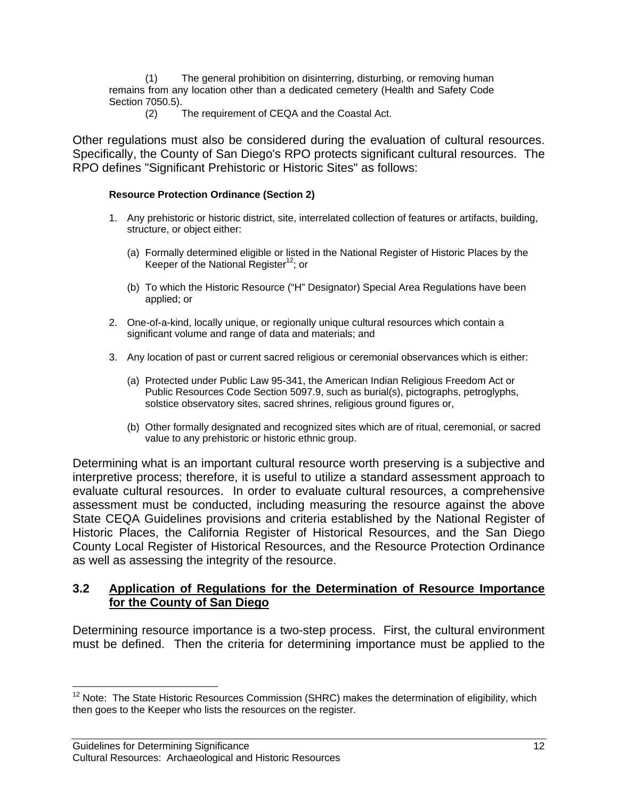(1) The general prohibition on disinterring, disturbing, or removing human remains from any location other than a dedicated cemetery (Health and Safety Code Section 7050.5).

(2) The requirement of CEQA and the Coastal Act.

Other regulations must also be considered during the evaluation of cultural resources. Specifically, the County of San Diego's RPO protects significant cultural resources. The RPO defines "Significant Prehistoric or Historic Sites" as follows:

### **Resource Protection Ordinance (Section 2)**

- 1. Any prehistoric or historic district, site, interrelated collection of features or artifacts, building, structure, or object either:
	- (a) Formally determined eligible or listed in the National Register of Historic Places by the Keeper of the National Register<sup>12</sup>; or
	- (b) To which the Historic Resource ("H" Designator) Special Area Regulations have been applied; or
- 2. One-of-a-kind, locally unique, or regionally unique cultural resources which contain a significant volume and range of data and materials; and
- 3. Any location of past or current sacred religious or ceremonial observances which is either:
	- (a) Protected under Public Law 95-341, the American Indian Religious Freedom Act or Public Resources Code Section 5097.9, such as burial(s), pictographs, petroglyphs, solstice observatory sites, sacred shrines, religious ground figures or,
	- (b) Other formally designated and recognized sites which are of ritual, ceremonial, or sacred value to any prehistoric or historic ethnic group.

Determining what is an important cultural resource worth preserving is a subjective and interpretive process; therefore, it is useful to utilize a standard assessment approach to evaluate cultural resources. In order to evaluate cultural resources, a comprehensive assessment must be conducted, including measuring the resource against the above State CEQA Guidelines provisions and criteria established by the National Register of Historic Places, the California Register of Historical Resources, and the San Diego County Local Register of Historical Resources, and the Resource Protection Ordinance as well as assessing the integrity of the resource.

# **3.2 Application of Regulations for the Determination of Resource Importance for the County of San Diego**

Determining resource importance is a two-step process. First, the cultural environment must be defined. Then the criteria for determining importance must be applied to the

 $\overline{a}$ 

 $12$  Note: The State Historic Resources Commission (SHRC) makes the determination of eligibility, which then goes to the Keeper who lists the resources on the register.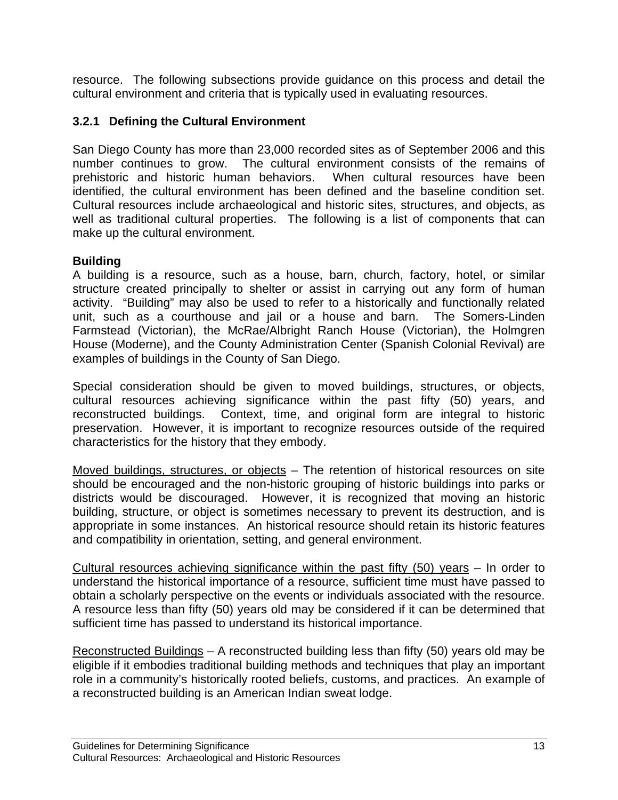resource. The following subsections provide guidance on this process and detail the cultural environment and criteria that is typically used in evaluating resources.

# **3.2.1 Defining the Cultural Environment**

San Diego County has more than 23,000 recorded sites as of September 2006 and this number continues to grow. The cultural environment consists of the remains of prehistoric and historic human behaviors. When cultural resources have been identified, the cultural environment has been defined and the baseline condition set. Cultural resources include archaeological and historic sites, structures, and objects, as well as traditional cultural properties. The following is a list of components that can make up the cultural environment.

# **Building**

A building is a resource, such as a house, barn, church, factory, hotel, or similar structure created principally to shelter or assist in carrying out any form of human activity. "Building" may also be used to refer to a historically and functionally related unit, such as a courthouse and jail or a house and barn. The Somers-Linden Farmstead (Victorian), the McRae/Albright Ranch House (Victorian), the Holmgren House (Moderne), and the County Administration Center (Spanish Colonial Revival) are examples of buildings in the County of San Diego.

Special consideration should be given to moved buildings, structures, or objects, cultural resources achieving significance within the past fifty (50) years, and reconstructed buildings. Context, time, and original form are integral to historic preservation. However, it is important to recognize resources outside of the required characteristics for the history that they embody.

Moved buildings, structures, or objects – The retention of historical resources on site should be encouraged and the non-historic grouping of historic buildings into parks or districts would be discouraged. However, it is recognized that moving an historic building, structure, or object is sometimes necessary to prevent its destruction, and is appropriate in some instances. An historical resource should retain its historic features and compatibility in orientation, setting, and general environment.

Cultural resources achieving significance within the past fifty (50) years – In order to understand the historical importance of a resource, sufficient time must have passed to obtain a scholarly perspective on the events or individuals associated with the resource. A resource less than fifty (50) years old may be considered if it can be determined that sufficient time has passed to understand its historical importance.

Reconstructed Buildings – A reconstructed building less than fifty (50) years old may be eligible if it embodies traditional building methods and techniques that play an important role in a community's historically rooted beliefs, customs, and practices. An example of a reconstructed building is an American Indian sweat lodge.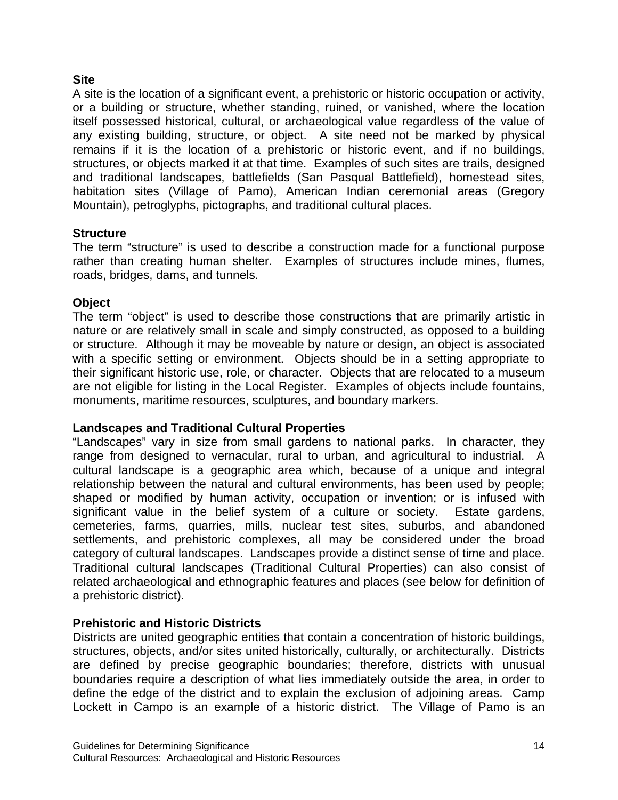# **Site**

A site is the location of a significant event, a prehistoric or historic occupation or activity, or a building or structure, whether standing, ruined, or vanished, where the location itself possessed historical, cultural, or archaeological value regardless of the value of any existing building, structure, or object. A site need not be marked by physical remains if it is the location of a prehistoric or historic event, and if no buildings, structures, or objects marked it at that time. Examples of such sites are trails, designed and traditional landscapes, battlefields (San Pasqual Battlefield), homestead sites, habitation sites (Village of Pamo), American Indian ceremonial areas (Gregory Mountain), petroglyphs, pictographs, and traditional cultural places.

# **Structure**

The term "structure" is used to describe a construction made for a functional purpose rather than creating human shelter. Examples of structures include mines, flumes, roads, bridges, dams, and tunnels.

# **Object**

The term "object" is used to describe those constructions that are primarily artistic in nature or are relatively small in scale and simply constructed, as opposed to a building or structure. Although it may be moveable by nature or design, an object is associated with a specific setting or environment. Objects should be in a setting appropriate to their significant historic use, role, or character. Objects that are relocated to a museum are not eligible for listing in the Local Register. Examples of objects include fountains, monuments, maritime resources, sculptures, and boundary markers.

# **Landscapes and Traditional Cultural Properties**

"Landscapes" vary in size from small gardens to national parks. In character, they range from designed to vernacular, rural to urban, and agricultural to industrial. A cultural landscape is a geographic area which, because of a unique and integral relationship between the natural and cultural environments, has been used by people; shaped or modified by human activity, occupation or invention; or is infused with significant value in the belief system of a culture or society. Estate gardens, cemeteries, farms, quarries, mills, nuclear test sites, suburbs, and abandoned settlements, and prehistoric complexes, all may be considered under the broad category of cultural landscapes. Landscapes provide a distinct sense of time and place. Traditional cultural landscapes (Traditional Cultural Properties) can also consist of related archaeological and ethnographic features and places (see below for definition of a prehistoric district).

# **Prehistoric and Historic Districts**

Districts are united geographic entities that contain a concentration of historic buildings, structures, objects, and/or sites united historically, culturally, or architecturally. Districts are defined by precise geographic boundaries; therefore, districts with unusual boundaries require a description of what lies immediately outside the area, in order to define the edge of the district and to explain the exclusion of adjoining areas. Camp Lockett in Campo is an example of a historic district. The Village of Pamo is an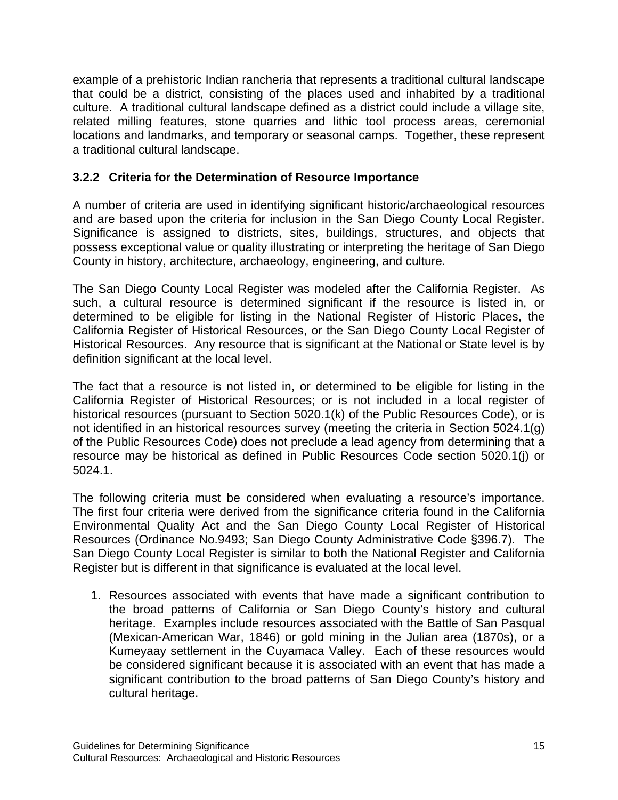example of a prehistoric Indian rancheria that represents a traditional cultural landscape that could be a district, consisting of the places used and inhabited by a traditional culture. A traditional cultural landscape defined as a district could include a village site, related milling features, stone quarries and lithic tool process areas, ceremonial locations and landmarks, and temporary or seasonal camps. Together, these represent a traditional cultural landscape.

# **3.2.2 Criteria for the Determination of Resource Importance**

A number of criteria are used in identifying significant historic/archaeological resources and are based upon the criteria for inclusion in the San Diego County Local Register. Significance is assigned to districts, sites, buildings, structures, and objects that possess exceptional value or quality illustrating or interpreting the heritage of San Diego County in history, architecture, archaeology, engineering, and culture.

The San Diego County Local Register was modeled after the California Register. As such, a cultural resource is determined significant if the resource is listed in, or determined to be eligible for listing in the National Register of Historic Places, the California Register of Historical Resources, or the San Diego County Local Register of Historical Resources. Any resource that is significant at the National or State level is by definition significant at the local level.

The fact that a resource is not listed in, or determined to be eligible for listing in the California Register of Historical Resources; or is not included in a local register of historical resources (pursuant to Section 5020.1(k) of the Public Resources Code), or is not identified in an historical resources survey (meeting the criteria in Section 5024.1(g) of the Public Resources Code) does not preclude a lead agency from determining that a resource may be historical as defined in Public Resources Code section 5020.1(j) or 5024.1.

The following criteria must be considered when evaluating a resource's importance. The first four criteria were derived from the significance criteria found in the California Environmental Quality Act and the San Diego County Local Register of Historical Resources (Ordinance No.9493; San Diego County Administrative Code §396.7). The San Diego County Local Register is similar to both the National Register and California Register but is different in that significance is evaluated at the local level.

1. Resources associated with events that have made a significant contribution to the broad patterns of California or San Diego County's history and cultural heritage. Examples include resources associated with the Battle of San Pasqual (Mexican-American War, 1846) or gold mining in the Julian area (1870s), or a Kumeyaay settlement in the Cuyamaca Valley. Each of these resources would be considered significant because it is associated with an event that has made a significant contribution to the broad patterns of San Diego County's history and cultural heritage.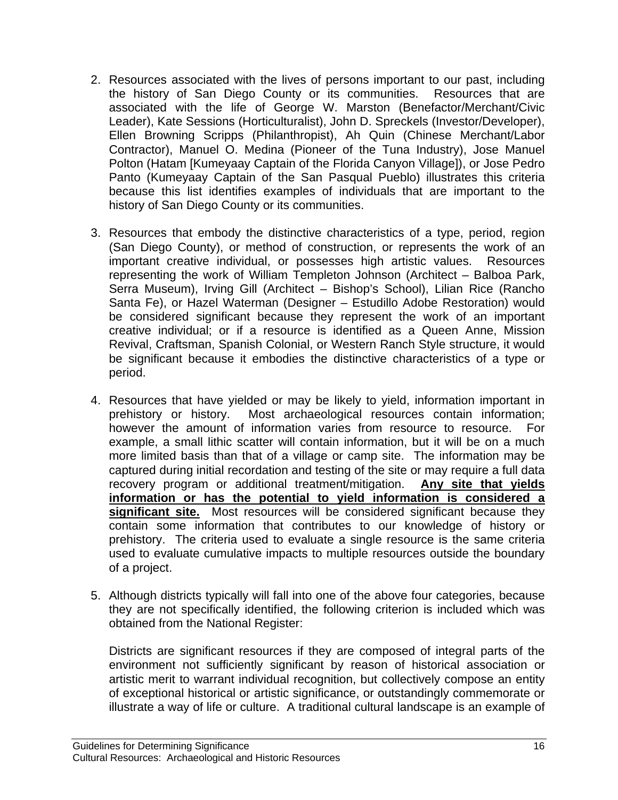- 2. Resources associated with the lives of persons important to our past, including the history of San Diego County or its communities. Resources that are associated with the life of George W. Marston (Benefactor/Merchant/Civic Leader), Kate Sessions (Horticulturalist), John D. Spreckels (Investor/Developer), Ellen Browning Scripps (Philanthropist), Ah Quin (Chinese Merchant/Labor Contractor), Manuel O. Medina (Pioneer of the Tuna Industry), Jose Manuel Polton (Hatam [Kumeyaay Captain of the Florida Canyon Village]), or Jose Pedro Panto (Kumeyaay Captain of the San Pasqual Pueblo) illustrates this criteria because this list identifies examples of individuals that are important to the history of San Diego County or its communities.
- 3. Resources that embody the distinctive characteristics of a type, period, region (San Diego County), or method of construction, or represents the work of an important creative individual, or possesses high artistic values. Resources representing the work of William Templeton Johnson (Architect – Balboa Park, Serra Museum), Irving Gill (Architect – Bishop's School), Lilian Rice (Rancho Santa Fe), or Hazel Waterman (Designer – Estudillo Adobe Restoration) would be considered significant because they represent the work of an important creative individual; or if a resource is identified as a Queen Anne, Mission Revival, Craftsman, Spanish Colonial, or Western Ranch Style structure, it would be significant because it embodies the distinctive characteristics of a type or period.
- 4. Resources that have yielded or may be likely to yield, information important in prehistory or history. Most archaeological resources contain information; however the amount of information varies from resource to resource. For example, a small lithic scatter will contain information, but it will be on a much more limited basis than that of a village or camp site. The information may be captured during initial recordation and testing of the site or may require a full data recovery program or additional treatment/mitigation. **Any site that yields information or has the potential to yield information is considered a significant site.** Most resources will be considered significant because they contain some information that contributes to our knowledge of history or prehistory. The criteria used to evaluate a single resource is the same criteria used to evaluate cumulative impacts to multiple resources outside the boundary of a project.
- 5. Although districts typically will fall into one of the above four categories, because they are not specifically identified, the following criterion is included which was obtained from the National Register:

Districts are significant resources if they are composed of integral parts of the environment not sufficiently significant by reason of historical association or artistic merit to warrant individual recognition, but collectively compose an entity of exceptional historical or artistic significance, or outstandingly commemorate or illustrate a way of life or culture. A traditional cultural landscape is an example of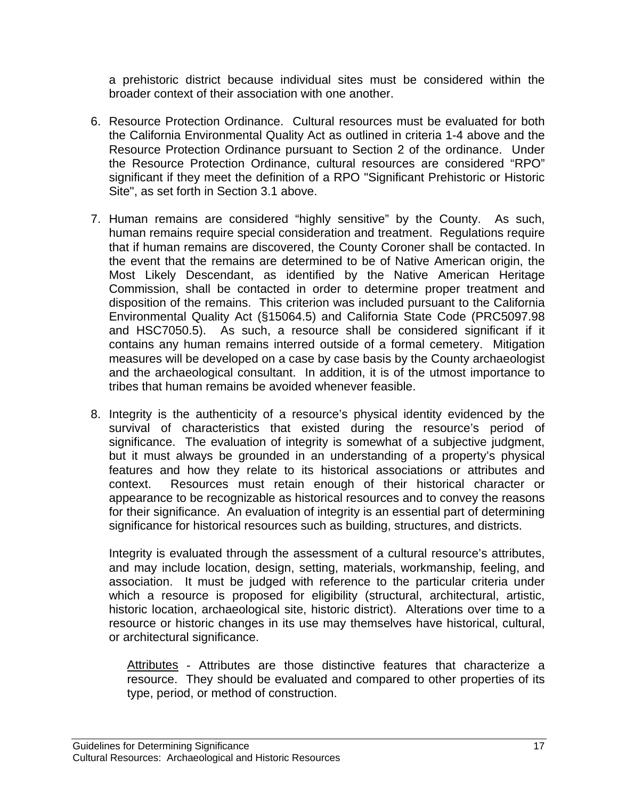a prehistoric district because individual sites must be considered within the broader context of their association with one another.

- 6. Resource Protection Ordinance. Cultural resources must be evaluated for both the California Environmental Quality Act as outlined in criteria 1-4 above and the Resource Protection Ordinance pursuant to Section 2 of the ordinance. Under the Resource Protection Ordinance, cultural resources are considered "RPO" significant if they meet the definition of a RPO "Significant Prehistoric or Historic Site", as set forth in Section 3.1 above.
- 7. Human remains are considered "highly sensitive" by the County. As such, human remains require special consideration and treatment. Regulations require that if human remains are discovered, the County Coroner shall be contacted. In the event that the remains are determined to be of Native American origin, the Most Likely Descendant, as identified by the Native American Heritage Commission, shall be contacted in order to determine proper treatment and disposition of the remains. This criterion was included pursuant to the California Environmental Quality Act (§15064.5) and California State Code (PRC5097.98 and HSC7050.5). As such, a resource shall be considered significant if it contains any human remains interred outside of a formal cemetery. Mitigation measures will be developed on a case by case basis by the County archaeologist and the archaeological consultant. In addition, it is of the utmost importance to tribes that human remains be avoided whenever feasible.
- 8. Integrity is the authenticity of a resource's physical identity evidenced by the survival of characteristics that existed during the resource's period of significance. The evaluation of integrity is somewhat of a subjective judgment, but it must always be grounded in an understanding of a property's physical features and how they relate to its historical associations or attributes and context. Resources must retain enough of their historical character or appearance to be recognizable as historical resources and to convey the reasons for their significance. An evaluation of integrity is an essential part of determining significance for historical resources such as building, structures, and districts.

Integrity is evaluated through the assessment of a cultural resource's attributes, and may include location, design, setting, materials, workmanship, feeling, and association. It must be judged with reference to the particular criteria under which a resource is proposed for eligibility (structural, architectural, artistic, historic location, archaeological site, historic district). Alterations over time to a resource or historic changes in its use may themselves have historical, cultural, or architectural significance.

Attributes - Attributes are those distinctive features that characterize a resource. They should be evaluated and compared to other properties of its type, period, or method of construction.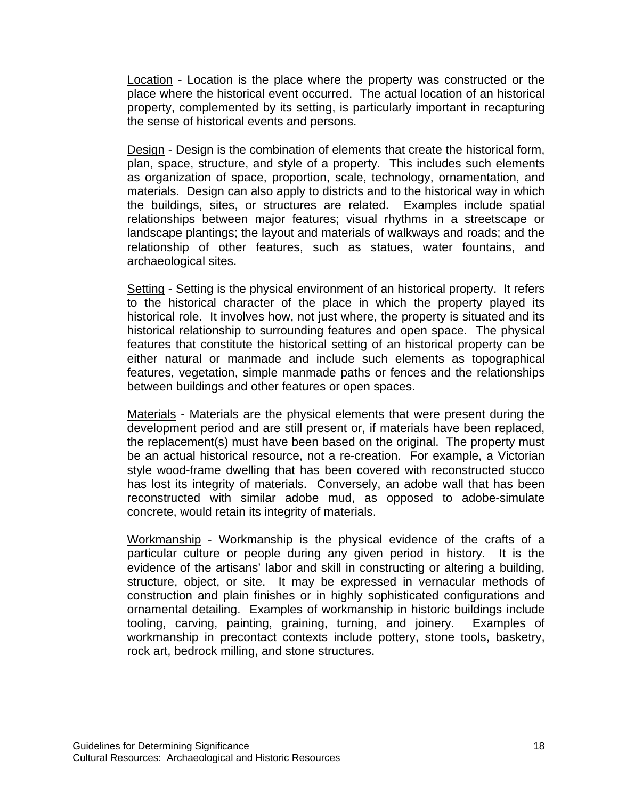**Location** - Location is the place where the property was constructed or the place where the historical event occurred. The actual location of an historical property, complemented by its setting, is particularly important in recapturing the sense of historical events and persons.

Design - Design is the combination of elements that create the historical form, plan, space, structure, and style of a property. This includes such elements as organization of space, proportion, scale, technology, ornamentation, and materials. Design can also apply to districts and to the historical way in which the buildings, sites, or structures are related. Examples include spatial relationships between major features; visual rhythms in a streetscape or landscape plantings; the layout and materials of walkways and roads; and the relationship of other features, such as statues, water fountains, and archaeological sites.

Setting - Setting is the physical environment of an historical property. It refers to the historical character of the place in which the property played its historical role. It involves how, not just where, the property is situated and its historical relationship to surrounding features and open space. The physical features that constitute the historical setting of an historical property can be either natural or manmade and include such elements as topographical features, vegetation, simple manmade paths or fences and the relationships between buildings and other features or open spaces.

Materials - Materials are the physical elements that were present during the development period and are still present or, if materials have been replaced, the replacement(s) must have been based on the original. The property must be an actual historical resource, not a re-creation. For example, a Victorian style wood-frame dwelling that has been covered with reconstructed stucco has lost its integrity of materials. Conversely, an adobe wall that has been reconstructed with similar adobe mud, as opposed to adobe-simulate concrete, would retain its integrity of materials.

Workmanship - Workmanship is the physical evidence of the crafts of a particular culture or people during any given period in history. It is the evidence of the artisans' labor and skill in constructing or altering a building, structure, object, or site. It may be expressed in vernacular methods of construction and plain finishes or in highly sophisticated configurations and ornamental detailing. Examples of workmanship in historic buildings include tooling, carving, painting, graining, turning, and joinery. Examples of workmanship in precontact contexts include pottery, stone tools, basketry, rock art, bedrock milling, and stone structures.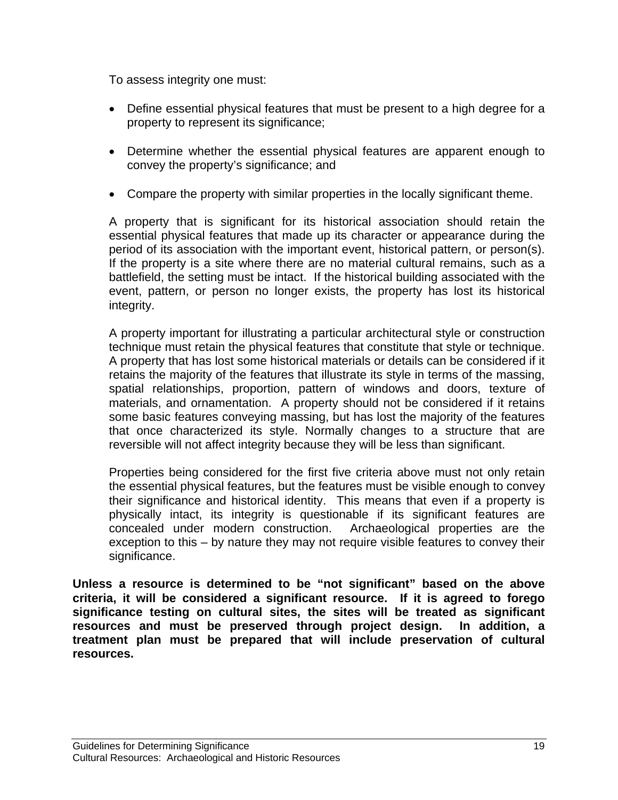To assess integrity one must:

- Define essential physical features that must be present to a high degree for a property to represent its significance;
- Determine whether the essential physical features are apparent enough to convey the property's significance; and
- Compare the property with similar properties in the locally significant theme.

A property that is significant for its historical association should retain the essential physical features that made up its character or appearance during the period of its association with the important event, historical pattern, or person(s). If the property is a site where there are no material cultural remains, such as a battlefield, the setting must be intact. If the historical building associated with the event, pattern, or person no longer exists, the property has lost its historical integrity.

A property important for illustrating a particular architectural style or construction technique must retain the physical features that constitute that style or technique. A property that has lost some historical materials or details can be considered if it retains the majority of the features that illustrate its style in terms of the massing, spatial relationships, proportion, pattern of windows and doors, texture of materials, and ornamentation. A property should not be considered if it retains some basic features conveying massing, but has lost the majority of the features that once characterized its style. Normally changes to a structure that are reversible will not affect integrity because they will be less than significant.

Properties being considered for the first five criteria above must not only retain the essential physical features, but the features must be visible enough to convey their significance and historical identity. This means that even if a property is physically intact, its integrity is questionable if its significant features are concealed under modern construction. Archaeological properties are the exception to this – by nature they may not require visible features to convey their significance.

**Unless a resource is determined to be "not significant" based on the above criteria, it will be considered a significant resource. If it is agreed to forego significance testing on cultural sites, the sites will be treated as significant resources and must be preserved through project design. In addition, a treatment plan must be prepared that will include preservation of cultural resources.**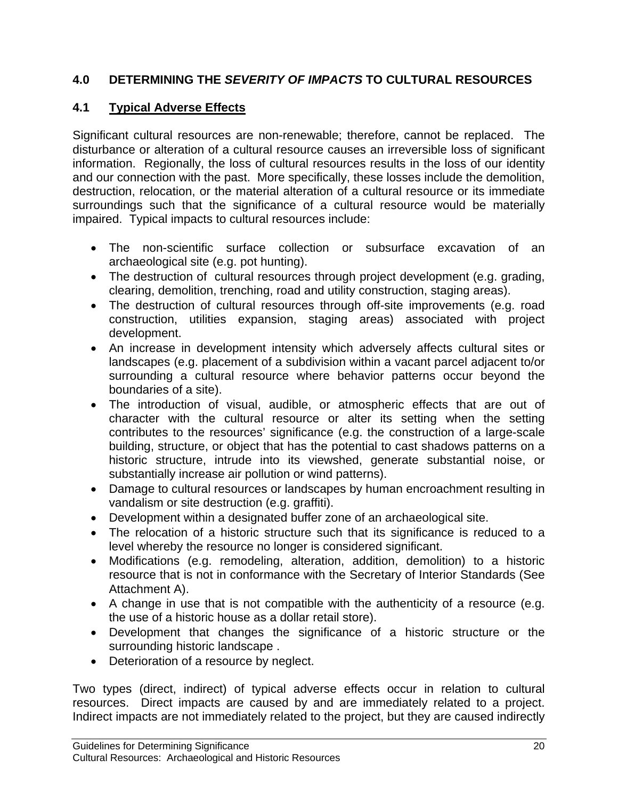# **4.0 DETERMINING THE** *SEVERITY OF IMPACTS* **TO CULTURAL RESOURCES**

# **4.1 Typical Adverse Effects**

Significant cultural resources are non-renewable; therefore, cannot be replaced. The disturbance or alteration of a cultural resource causes an irreversible loss of significant information. Regionally, the loss of cultural resources results in the loss of our identity and our connection with the past. More specifically, these losses include the demolition, destruction, relocation, or the material alteration of a cultural resource or its immediate surroundings such that the significance of a cultural resource would be materially impaired. Typical impacts to cultural resources include:

- The non-scientific surface collection or subsurface excavation of an archaeological site (e.g. pot hunting).
- The destruction of cultural resources through project development (e.g. grading, clearing, demolition, trenching, road and utility construction, staging areas).
- The destruction of cultural resources through off-site improvements (e.g. road construction, utilities expansion, staging areas) associated with project development.
- An increase in development intensity which adversely affects cultural sites or landscapes (e.g. placement of a subdivision within a vacant parcel adjacent to/or surrounding a cultural resource where behavior patterns occur beyond the boundaries of a site).
- The introduction of visual, audible, or atmospheric effects that are out of character with the cultural resource or alter its setting when the setting contributes to the resources' significance (e.g. the construction of a large-scale building, structure, or object that has the potential to cast shadows patterns on a historic structure, intrude into its viewshed, generate substantial noise, or substantially increase air pollution or wind patterns).
- Damage to cultural resources or landscapes by human encroachment resulting in vandalism or site destruction (e.g. graffiti).
- Development within a designated buffer zone of an archaeological site.
- The relocation of a historic structure such that its significance is reduced to a level whereby the resource no longer is considered significant.
- Modifications (e.g. remodeling, alteration, addition, demolition) to a historic resource that is not in conformance with the Secretary of Interior Standards (See Attachment A).
- A change in use that is not compatible with the authenticity of a resource (e.g. the use of a historic house as a dollar retail store).
- Development that changes the significance of a historic structure or the surrounding historic landscape .
- Deterioration of a resource by neglect.

Two types (direct, indirect) of typical adverse effects occur in relation to cultural resources. Direct impacts are caused by and are immediately related to a project. Indirect impacts are not immediately related to the project, but they are caused indirectly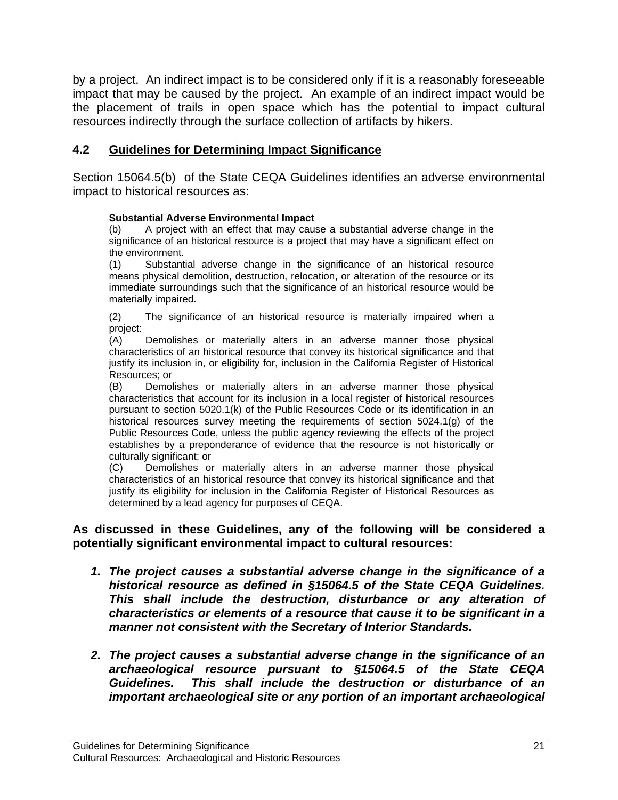by a project. An indirect impact is to be considered only if it is a reasonably foreseeable impact that may be caused by the project. An example of an indirect impact would be the placement of trails in open space which has the potential to impact cultural resources indirectly through the surface collection of artifacts by hikers.

# **4.2 Guidelines for Determining Impact Significance**

Section 15064.5(b) of the State CEQA Guidelines identifies an adverse environmental impact to historical resources as:

### **Substantial Adverse Environmental Impact**

(b) A project with an effect that may cause a substantial adverse change in the significance of an historical resource is a project that may have a significant effect on the environment.

(1) Substantial adverse change in the significance of an historical resource means physical demolition, destruction, relocation, or alteration of the resource or its immediate surroundings such that the significance of an historical resource would be materially impaired.

(2) The significance of an historical resource is materially impaired when a project:

(A) Demolishes or materially alters in an adverse manner those physical characteristics of an historical resource that convey its historical significance and that justify its inclusion in, or eligibility for, inclusion in the California Register of Historical Resources; or

(B) Demolishes or materially alters in an adverse manner those physical characteristics that account for its inclusion in a local register of historical resources pursuant to section 5020.1(k) of the Public Resources Code or its identification in an historical resources survey meeting the requirements of section 5024.1(g) of the Public Resources Code, unless the public agency reviewing the effects of the project establishes by a preponderance of evidence that the resource is not historically or culturally significant; or

(C) Demolishes or materially alters in an adverse manner those physical characteristics of an historical resource that convey its historical significance and that justify its eligibility for inclusion in the California Register of Historical Resources as determined by a lead agency for purposes of CEQA.

### **As discussed in these Guidelines, any of the following will be considered a potentially significant environmental impact to cultural resources:**

- *1. The project causes a substantial adverse change in the significance of a historical resource as defined in §15064.5 of the State CEQA Guidelines. This shall include the destruction, disturbance or any alteration of characteristics or elements of a resource that cause it to be significant in a manner not consistent with the Secretary of Interior Standards.*
- *2. The project causes a substantial adverse change in the significance of an archaeological resource pursuant to §15064.5 of the State CEQA Guidelines. This shall include the destruction or disturbance of an important archaeological site or any portion of an important archaeological*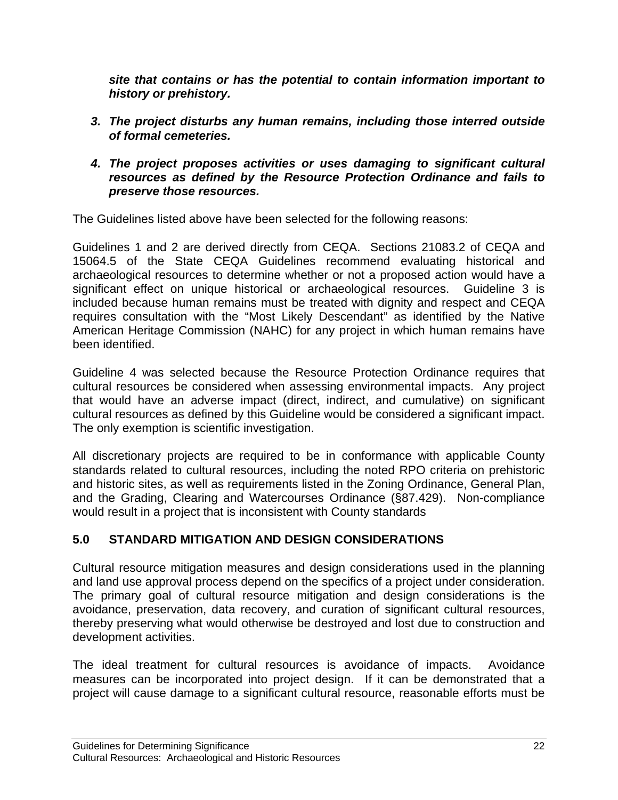*site that contains or has the potential to contain information important to history or prehistory.* 

- *3. The project disturbs any human remains, including those interred outside of formal cemeteries.*
- *4. The project proposes activities or uses damaging to significant cultural resources as defined by the Resource Protection Ordinance and fails to preserve those resources.*

The Guidelines listed above have been selected for the following reasons:

Guidelines 1 and 2 are derived directly from CEQA. Sections 21083.2 of CEQA and 15064.5 of the State CEQA Guidelines recommend evaluating historical and archaeological resources to determine whether or not a proposed action would have a significant effect on unique historical or archaeological resources. Guideline 3 is included because human remains must be treated with dignity and respect and CEQA requires consultation with the "Most Likely Descendant" as identified by the Native American Heritage Commission (NAHC) for any project in which human remains have been identified.

Guideline 4 was selected because the Resource Protection Ordinance requires that cultural resources be considered when assessing environmental impacts. Any project that would have an adverse impact (direct, indirect, and cumulative) on significant cultural resources as defined by this Guideline would be considered a significant impact. The only exemption is scientific investigation.

All discretionary projects are required to be in conformance with applicable County standards related to cultural resources, including the noted RPO criteria on prehistoric and historic sites, as well as requirements listed in the Zoning Ordinance, General Plan, and the Grading, Clearing and Watercourses Ordinance (§87.429). Non-compliance would result in a project that is inconsistent with County standards

# **5.0 STANDARD MITIGATION AND DESIGN CONSIDERATIONS**

Cultural resource mitigation measures and design considerations used in the planning and land use approval process depend on the specifics of a project under consideration. The primary goal of cultural resource mitigation and design considerations is the avoidance, preservation, data recovery, and curation of significant cultural resources, thereby preserving what would otherwise be destroyed and lost due to construction and development activities.

The ideal treatment for cultural resources is avoidance of impacts. Avoidance measures can be incorporated into project design. If it can be demonstrated that a project will cause damage to a significant cultural resource, reasonable efforts must be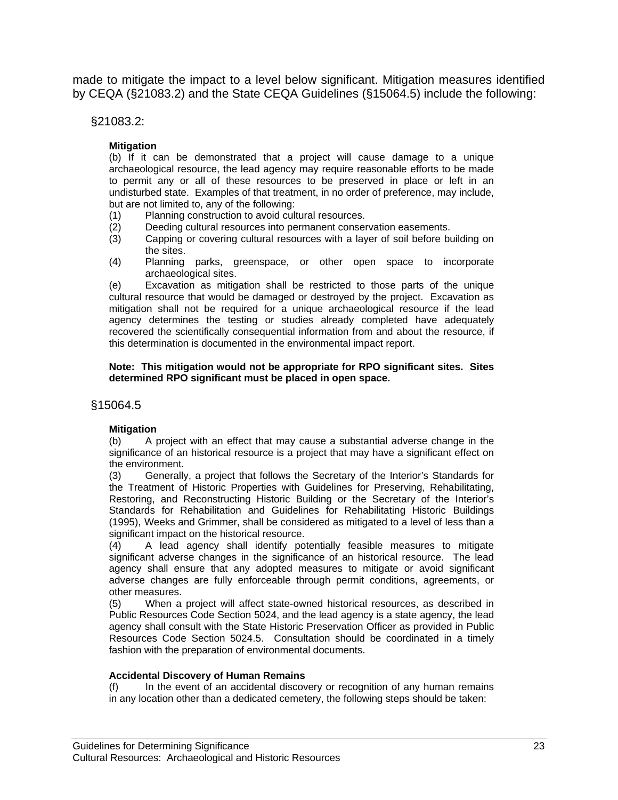made to mitigate the impact to a level below significant. Mitigation measures identified by CEQA (§21083.2) and the State CEQA Guidelines (§15064.5) include the following:

### §21083.2:

### **Mitigation**

(b) If it can be demonstrated that a project will cause damage to a unique archaeological resource, the lead agency may require reasonable efforts to be made to permit any or all of these resources to be preserved in place or left in an undisturbed state. Examples of that treatment, in no order of preference, may include, but are not limited to, any of the following:

- (1) Planning construction to avoid cultural resources.
- (2) Deeding cultural resources into permanent conservation easements.<br>(3) Capping or covering cultural resources with a layer of soil before bu
- Capping or covering cultural resources with a layer of soil before building on the sites.
- (4) Planning parks, greenspace, or other open space to incorporate archaeological sites.

(e) Excavation as mitigation shall be restricted to those parts of the unique cultural resource that would be damaged or destroyed by the project. Excavation as mitigation shall not be required for a unique archaeological resource if the lead agency determines the testing or studies already completed have adequately recovered the scientifically consequential information from and about the resource, if this determination is documented in the environmental impact report.

#### **Note: This mitigation would not be appropriate for RPO significant sites. Sites determined RPO significant must be placed in open space.**

### §15064.5

#### **Mitigation**

(b) A project with an effect that may cause a substantial adverse change in the significance of an historical resource is a project that may have a significant effect on the environment.

(3) Generally, a project that follows the Secretary of the Interior's Standards for the Treatment of Historic Properties with Guidelines for Preserving, Rehabilitating, Restoring, and Reconstructing Historic Building or the Secretary of the Interior's Standards for Rehabilitation and Guidelines for Rehabilitating Historic Buildings (1995), Weeks and Grimmer, shall be considered as mitigated to a level of less than a significant impact on the historical resource.

(4) A lead agency shall identify potentially feasible measures to mitigate significant adverse changes in the significance of an historical resource. The lead agency shall ensure that any adopted measures to mitigate or avoid significant adverse changes are fully enforceable through permit conditions, agreements, or other measures.

(5) When a project will affect state-owned historical resources, as described in Public Resources Code Section 5024, and the lead agency is a state agency, the lead agency shall consult with the State Historic Preservation Officer as provided in Public Resources Code Section 5024.5. Consultation should be coordinated in a timely fashion with the preparation of environmental documents.

#### **Accidental Discovery of Human Remains**

(f) In the event of an accidental discovery or recognition of any human remains in any location other than a dedicated cemetery, the following steps should be taken: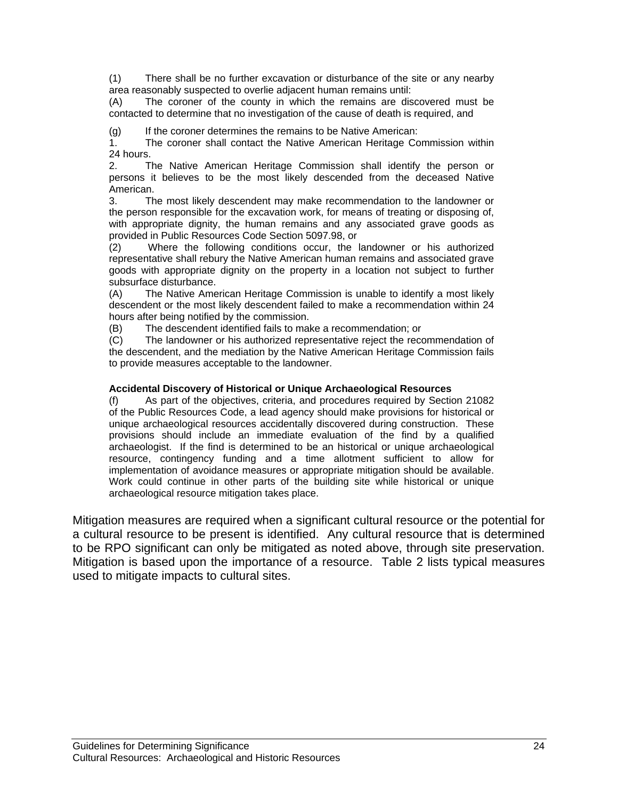(1) There shall be no further excavation or disturbance of the site or any nearby area reasonably suspected to overlie adjacent human remains until:

(A) The coroner of the county in which the remains are discovered must be contacted to determine that no investigation of the cause of death is required, and

(g) If the coroner determines the remains to be Native American:

1. The coroner shall contact the Native American Heritage Commission within 24 hours.

2. The Native American Heritage Commission shall identify the person or persons it believes to be the most likely descended from the deceased Native American.

3. The most likely descendent may make recommendation to the landowner or the person responsible for the excavation work, for means of treating or disposing of, with appropriate dignity, the human remains and any associated grave goods as provided in Public Resources Code Section 5097.98, or

(2) Where the following conditions occur, the landowner or his authorized representative shall rebury the Native American human remains and associated grave goods with appropriate dignity on the property in a location not subject to further subsurface disturbance.

(A) The Native American Heritage Commission is unable to identify a most likely descendent or the most likely descendent failed to make a recommendation within 24 hours after being notified by the commission.

(B) The descendent identified fails to make a recommendation; or

(C) The landowner or his authorized representative reject the recommendation of the descendent, and the mediation by the Native American Heritage Commission fails to provide measures acceptable to the landowner.

#### **Accidental Discovery of Historical or Unique Archaeological Resources**

(f) As part of the objectives, criteria, and procedures required by Section 21082 of the Public Resources Code, a lead agency should make provisions for historical or unique archaeological resources accidentally discovered during construction. These provisions should include an immediate evaluation of the find by a qualified archaeologist. If the find is determined to be an historical or unique archaeological resource, contingency funding and a time allotment sufficient to allow for implementation of avoidance measures or appropriate mitigation should be available. Work could continue in other parts of the building site while historical or unique archaeological resource mitigation takes place.

Mitigation measures are required when a significant cultural resource or the potential for a cultural resource to be present is identified. Any cultural resource that is determined to be RPO significant can only be mitigated as noted above, through site preservation. Mitigation is based upon the importance of a resource. Table 2 lists typical measures used to mitigate impacts to cultural sites.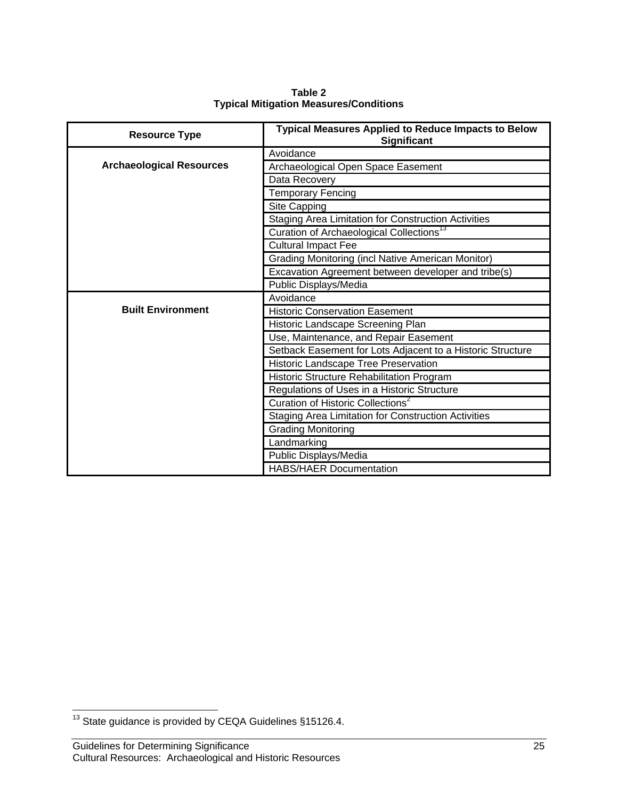| <b>Resource Type</b>            | <b>Typical Measures Applied to Reduce Impacts to Below</b><br><b>Significant</b> |  |
|---------------------------------|----------------------------------------------------------------------------------|--|
|                                 | Avoidance                                                                        |  |
| <b>Archaeological Resources</b> | Archaeological Open Space Easement                                               |  |
|                                 | Data Recovery                                                                    |  |
|                                 | <b>Temporary Fencing</b>                                                         |  |
|                                 | Site Capping                                                                     |  |
|                                 | <b>Staging Area Limitation for Construction Activities</b>                       |  |
|                                 | Curation of Archaeological Collections <sup>13</sup>                             |  |
|                                 | <b>Cultural Impact Fee</b>                                                       |  |
|                                 | <b>Grading Monitoring (incl Native American Monitor)</b>                         |  |
|                                 | Excavation Agreement between developer and tribe(s)                              |  |
|                                 | Public Displays/Media                                                            |  |
|                                 | Avoidance                                                                        |  |
| <b>Built Environment</b>        | <b>Historic Conservation Easement</b>                                            |  |
|                                 | Historic Landscape Screening Plan                                                |  |
|                                 | Use, Maintenance, and Repair Easement                                            |  |
|                                 | Setback Easement for Lots Adjacent to a Historic Structure                       |  |
|                                 | Historic Landscape Tree Preservation                                             |  |
|                                 | Historic Structure Rehabilitation Program                                        |  |
|                                 | Regulations of Uses in a Historic Structure                                      |  |
|                                 | Curation of Historic Collections <sup>2</sup>                                    |  |
|                                 | <b>Staging Area Limitation for Construction Activities</b>                       |  |
|                                 | <b>Grading Monitoring</b>                                                        |  |
|                                 | Landmarking                                                                      |  |
|                                 | Public Displays/Media                                                            |  |
|                                 | <b>HABS/HAER Documentation</b>                                                   |  |

**Table 2 Typical Mitigation Measures/Conditions** 

 $\overline{a}$  $13$  State guidance is provided by CEQA Guidelines §15126.4.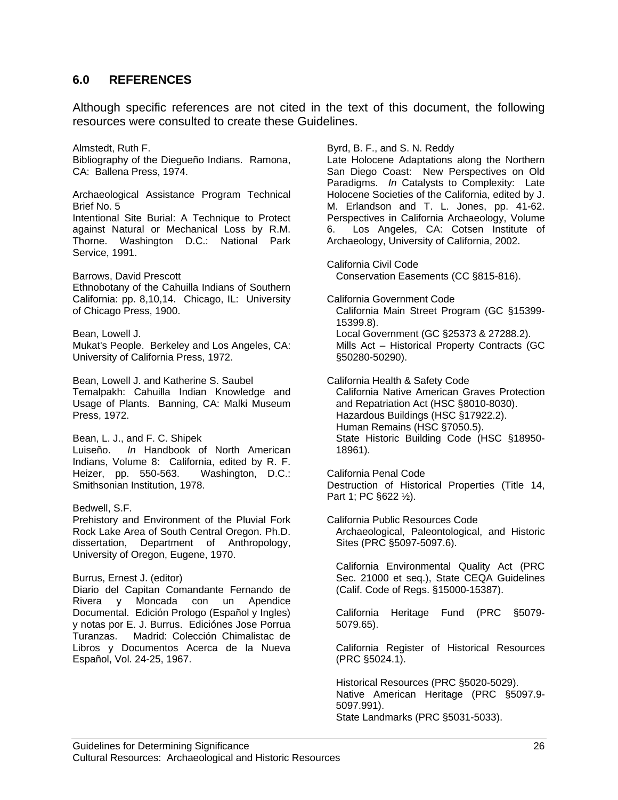# **6.0 REFERENCES**

Although specific references are not cited in the text of this document, the following resources were consulted to create these Guidelines.

Almstedt, Ruth F. Bibliography of the Diegueño Indians. Ramona, CA: Ballena Press, 1974.

Archaeological Assistance Program Technical Brief No. 5 Intentional Site Burial: A Technique to Protect against Natural or Mechanical Loss by R.M. Thorne. Washington D.C.: National Park Service, 1991.

Barrows, David Prescott Ethnobotany of the Cahuilla Indians of Southern California: pp. 8,10,14. Chicago, IL: University of Chicago Press, 1900.

Bean, Lowell J.

Mukat's People. Berkeley and Los Angeles, CA: University of California Press, 1972.

Bean, Lowell J. and Katherine S. Saubel Temalpakh: Cahuilla Indian Knowledge and Usage of Plants. Banning, CA: Malki Museum Press, 1972.

Bean, L. J., and F. C. Shipek Luiseño. *In* Handbook of North American Indians, Volume 8: California, edited by R. F. Heizer, pp. 550-563. Washington, D.C.: Smithsonian Institution, 1978.

Bedwell, S.F.

Prehistory and Environment of the Pluvial Fork Rock Lake Area of South Central Oregon. Ph.D. dissertation, Department of Anthropology, University of Oregon, Eugene, 1970.

Burrus, Ernest J. (editor)

Diario del Capitan Comandante Fernando de Rivera y Moncada con un Apendice Documental. Edición Prologo (Español y Ingles) y notas por E. J. Burrus. Ediciónes Jose Porrua Turanzas. Madrid: Colección Chimalistac de Libros y Documentos Acerca de la Nueva Español, Vol. 24-25, 1967.

Byrd, B. F., and S. N. Reddy

Late Holocene Adaptations along the Northern San Diego Coast: New Perspectives on Old Paradigms. *In* Catalysts to Complexity: Late Holocene Societies of the California, edited by J. M. Erlandson and T. L. Jones, pp. 41-62. Perspectives in California Archaeology, Volume 6. Los Angeles, CA: Cotsen Institute of Archaeology, University of California, 2002.

California Civil Code Conservation Easements (CC §815-816).

California Government Code California Main Street Program (GC §15399- 15399.8). Local Government (GC §25373 & 27288.2). Mills Act – Historical Property Contracts (GC §50280-50290).

California Health & Safety Code California Native American Graves Protection and Repatriation Act (HSC §8010-8030). Hazardous Buildings (HSC §17922.2). Human Remains (HSC §7050.5). State Historic Building Code (HSC §18950- 18961).

California Penal Code Destruction of Historical Properties (Title 14, Part 1; PC §622 ½).

California Public Resources Code Archaeological, Paleontological, and Historic Sites (PRC §5097-5097.6).

California Environmental Quality Act (PRC Sec. 21000 et seq.), State CEQA Guidelines (Calif. Code of Regs. §15000-15387).

California Heritage Fund (PRC §5079- 5079.65).

California Register of Historical Resources (PRC §5024.1).

Historical Resources (PRC §5020-5029). Native American Heritage (PRC §5097.9- 5097.991). State Landmarks (PRC §5031-5033).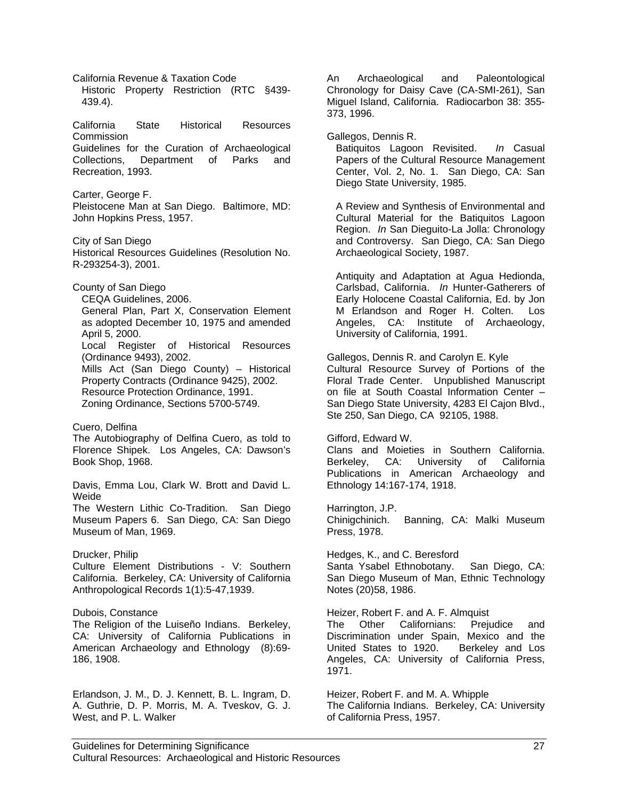California Revenue & Taxation Code Historic Property Restriction (RTC §439- 439.4). California State Historical Resources **Commission** Guidelines for the Curation of Archaeological Collections, Department of Parks and Recreation, 1993. Carter, George F. Pleistocene Man at San Diego. Baltimore, MD: John Hopkins Press, 1957. City of San Diego Historical Resources Guidelines (Resolution No. R-293254-3), 2001. County of San Diego CEQA Guidelines, 2006. General Plan, Part X, Conservation Element as adopted December 10, 1975 and amended April 5, 2000. Local Register of Historical Resources (Ordinance 9493), 2002. Mills Act (San Diego County) – Historical Property Contracts (Ordinance 9425), 2002. Resource Protection Ordinance, 1991. Zoning Ordinance, Sections 5700-5749. Cuero, Delfina The Autobiography of Delfina Cuero, as told to Florence Shipek. Los Angeles, CA: Dawson's Book Shop, 1968. Davis, Emma Lou, Clark W. Brott and David L. Weide The Western Lithic Co-Tradition. San Diego Museum Papers 6. San Diego, CA: San Diego Museum of Man, 1969. Drucker, Philip Culture Element Distributions - V: Southern California. Berkeley, CA: University of California Anthropological Records 1(1):5-47,1939. Dubois, Constance The Religion of the Luiseño Indians. Berkeley, CA: University of California Publications in American Archaeology and Ethnology (8):69- 186, 1908. Erlandson, J. M., D. J. Kennett, B. L. Ingram, D. A. Guthrie, D. P. Morris, M. A. Tveskov, G. J. West, and P. L. Walker

An Archaeological and Paleontological Chronology for Daisy Cave (CA-SMI-261), San Miguel Island, California. Radiocarbon 38: 355- 373, 1996.

Gallegos, Dennis R.

Batiquitos Lagoon Revisited. *In* Casual Papers of the Cultural Resource Management Center, Vol. 2, No. 1. San Diego, CA: San Diego State University, 1985.

A Review and Synthesis of Environmental and Cultural Material for the Batiquitos Lagoon Region. *In* San Dieguito-La Jolla: Chronology and Controversy. San Diego, CA: San Diego Archaeological Society, 1987.

Antiquity and Adaptation at Agua Hedionda, Carlsbad, California. *In* Hunter-Gatherers of Early Holocene Coastal California, Ed. by Jon M Erlandson and Roger H. Colten. Los Angeles, CA: Institute of Archaeology, University of California, 1991.

Gallegos, Dennis R. and Carolyn E. Kyle Cultural Resource Survey of Portions of the Floral Trade Center. Unpublished Manuscript on file at South Coastal Information Center – San Diego State University, 4283 El Cajon Blvd., Ste 250, San Diego, CA 92105, 1988.

Gifford, Edward W.

Clans and Moieties in Southern California. Berkeley, CA: University of California Publications in American Archaeology and Ethnology 14:167-174, 1918.

Harrington, J.P. Chinigchinich. Banning, CA: Malki Museum Press, 1978.

Hedges, K., and C. Beresford Santa Ysabel Ethnobotany. San Diego, CA: San Diego Museum of Man, Ethnic Technology Notes (20)58, 1986.

Heizer, Robert F. and A. F. Almquist The Other Californians: Prejudice and Discrimination under Spain, Mexico and the United States to 1920. Berkeley and Los Angeles, CA: University of California Press, 1971.

Heizer, Robert F. and M. A. Whipple The California Indians. Berkeley, CA: University of California Press, 1957.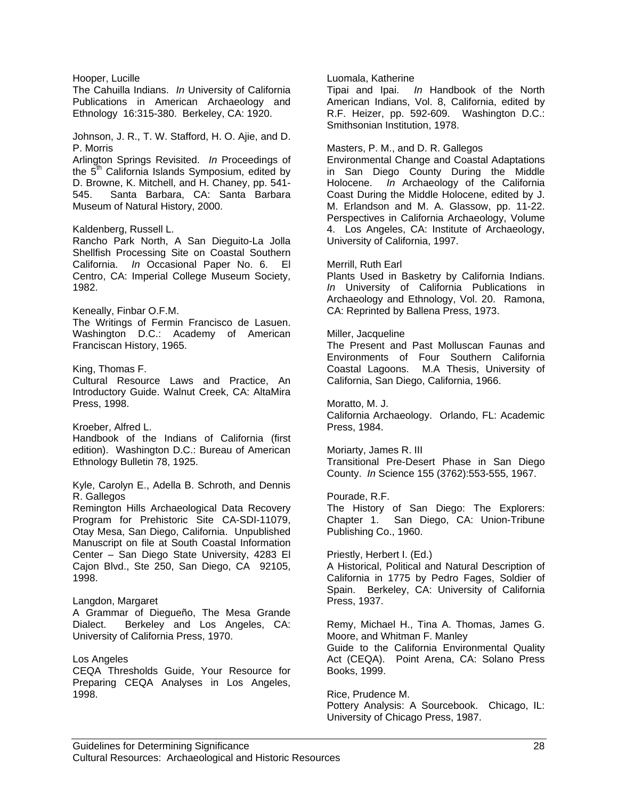Hooper, Lucille

The Cahuilla Indians. *In* University of California Publications in American Archaeology and Ethnology 16:315-380. Berkeley, CA: 1920.

Johnson, J. R., T. W. Stafford, H. O. Ajie, and D. P. Morris

Arlington Springs Revisited. *In* Proceedings of the 5<sup>th</sup> California Islands Symposium, edited by D. Browne, K. Mitchell, and H. Chaney, pp. 541- 545. Santa Barbara, CA: Santa Barbara Museum of Natural History, 2000.

#### Kaldenberg, Russell L.

Rancho Park North, A San Dieguito-La Jolla Shellfish Processing Site on Coastal Southern California. *In* Occasional Paper No. 6. El Centro, CA: Imperial College Museum Society, 1982.

Keneally, Finbar O.F.M.

The Writings of Fermin Francisco de Lasuen. Washington D.C.: Academy of American Franciscan History, 1965.

King, Thomas F.

Cultural Resource Laws and Practice, An Introductory Guide. Walnut Creek, CA: AltaMira Press, 1998.

Kroeber, Alfred L.

Handbook of the Indians of California (first edition). Washington D.C.: Bureau of American Ethnology Bulletin 78, 1925.

Kyle, Carolyn E., Adella B. Schroth, and Dennis R. Gallegos

Remington Hills Archaeological Data Recovery Program for Prehistoric Site CA-SDI-11079, Otay Mesa, San Diego, California. Unpublished Manuscript on file at South Coastal Information Center – San Diego State University, 4283 El Cajon Blvd., Ste 250, San Diego, CA 92105, 1998.

#### Langdon, Margaret

A Grammar of Diegueño, The Mesa Grande Dialect. Berkeley and Los Angeles, CA: University of California Press, 1970.

#### Los Angeles

CEQA Thresholds Guide, Your Resource for Preparing CEQA Analyses in Los Angeles, 1998.

#### Luomala, Katherine

Tipai and Ipai. *In* Handbook of the North American Indians, Vol. 8, California, edited by R.F. Heizer, pp. 592-609. Washington D.C.: Smithsonian Institution, 1978.

#### Masters, P. M., and D. R. Gallegos

Environmental Change and Coastal Adaptations in San Diego County During the Middle Holocene. *In* Archaeology of the California Coast During the Middle Holocene, edited by J. M. Erlandson and M. A. Glassow, pp. 11-22. Perspectives in California Archaeology, Volume 4. Los Angeles, CA: Institute of Archaeology, University of California, 1997.

#### Merrill, Ruth Earl

Plants Used in Basketry by California Indians. *In* University of California Publications in Archaeology and Ethnology, Vol. 20. Ramona, CA: Reprinted by Ballena Press, 1973.

#### Miller, Jacqueline

The Present and Past Molluscan Faunas and Environments of Four Southern California Coastal Lagoons. M.A Thesis, University of California, San Diego, California, 1966.

#### Moratto, M. J.

California Archaeology. Orlando, FL: Academic Press, 1984.

#### Moriarty, James R. III

Transitional Pre-Desert Phase in San Diego County. *In* Science 155 (3762):553-555, 1967.

#### Pourade, R.F.

The History of San Diego: The Explorers: Chapter 1. San Diego, CA: Union-Tribune Publishing Co., 1960.

#### Priestly, Herbert I. (Ed.)

A Historical, Political and Natural Description of California in 1775 by Pedro Fages, Soldier of Spain. Berkeley, CA: University of California Press, 1937.

Remy, Michael H., Tina A. Thomas, James G. Moore, and Whitman F. Manley

Guide to the California Environmental Quality Act (CEQA). Point Arena, CA: Solano Press Books, 1999.

#### Rice, Prudence M.

Pottery Analysis: A Sourcebook. Chicago, IL: University of Chicago Press, 1987.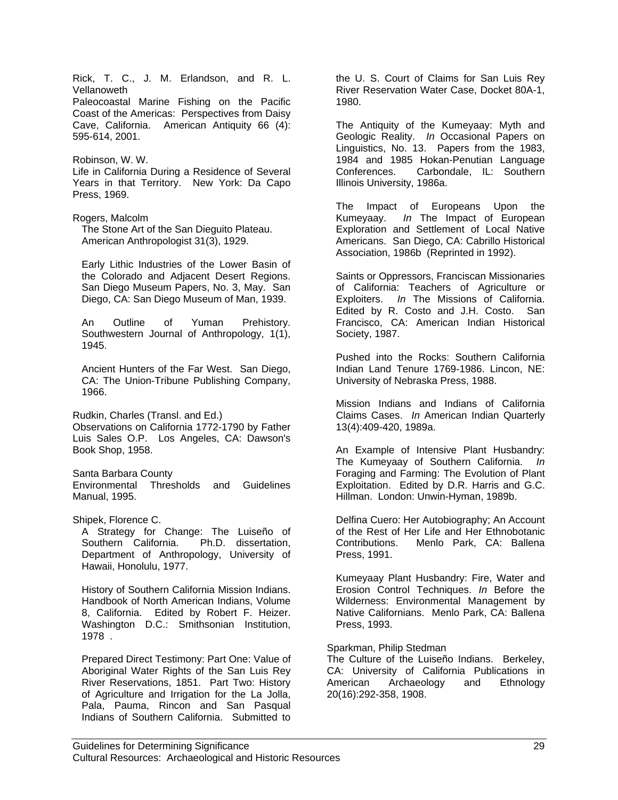Rick, T. C., J. M. Erlandson, and R. L. Vellanoweth Paleocoastal Marine Fishing on the Pacific Coast of the Americas: Perspectives from Daisy Cave, California. American Antiquity 66 (4): 595-614, 2001. Robinson, W. W. Life in California During a Residence of Several Years in that Territory. New York: Da Capo Press, 1969. Rogers, Malcolm The Stone Art of the San Dieguito Plateau. American Anthropologist 31(3), 1929. Early Lithic Industries of the Lower Basin of the Colorado and Adjacent Desert Regions. San Diego Museum Papers, No. 3, May. San Diego, CA: San Diego Museum of Man, 1939. An Outline of Yuman Prehistory. Southwestern Journal of Anthropology, 1(1), 1945. Ancient Hunters of the Far West. San Diego, CA: The Union-Tribune Publishing Company, 1966. Rudkin, Charles (Transl. and Ed.) Observations on California 1772-1790 by Father Luis Sales O.P. Los Angeles, CA: Dawson's Book Shop, 1958. Santa Barbara County Environmental Thresholds and Guidelines Manual, 1995. Shipek, Florence C. A Strategy for Change: The Luiseño of Southern California. Ph.D. dissertation, Department of Anthropology, University of Hawaii, Honolulu, 1977. History of Southern California Mission Indians. Handbook of North American Indians, Volume 8, California. Edited by Robert F. Heizer. Washington D.C.: Smithsonian Institution, 1978 . Prepared Direct Testimony: Part One: Value of Aboriginal Water Rights of the San Luis Rey River Reservations, 1851. Part Two: History of Agriculture and Irrigation for the La Jolla, Pala, Pauma, Rincon and San Pasqual Indians of Southern California. Submitted to 1980.

the U. S. Court of Claims for San Luis Rey River Reservation Water Case, Docket 80A-1,

The Antiquity of the Kumeyaay: Myth and Geologic Reality. *In* Occasional Papers on Linguistics, No. 13. Papers from the 1983, 1984 and 1985 Hokan-Penutian Language Conferences. Carbondale, IL: Southern Illinois University, 1986a.

The Impact of Europeans Upon the Kumeyaay. *In* The Impact of European Exploration and Settlement of Local Native Americans. San Diego, CA: Cabrillo Historical Association, 1986b (Reprinted in 1992).

Saints or Oppressors, Franciscan Missionaries of California: Teachers of Agriculture or Exploiters. *In* The Missions of California. Edited by R. Costo and J.H. Costo. San Francisco, CA: American Indian Historical Society, 1987.

Pushed into the Rocks: Southern California Indian Land Tenure 1769-1986. Lincon, NE: University of Nebraska Press, 1988.

Mission Indians and Indians of California Claims Cases. *In* American Indian Quarterly 13(4):409-420, 1989a.

An Example of Intensive Plant Husbandry: The Kumeyaay of Southern California. *In* Foraging and Farming: The Evolution of Plant Exploitation. Edited by D.R. Harris and G.C. Hillman. London: Unwin-Hyman, 1989b.

Delfina Cuero: Her Autobiography; An Account of the Rest of Her Life and Her Ethnobotanic Contributions. Menlo Park, CA: Ballena Press, 1991.

Kumeyaay Plant Husbandry: Fire, Water and Erosion Control Techniques. *In* Before the Wilderness: Environmental Management by Native Californians. Menlo Park, CA: Ballena Press, 1993.

#### Sparkman, Philip Stedman

The Culture of the Luiseño Indians. Berkeley, CA: University of California Publications in American Archaeology and Ethnology 20(16):292-358, 1908.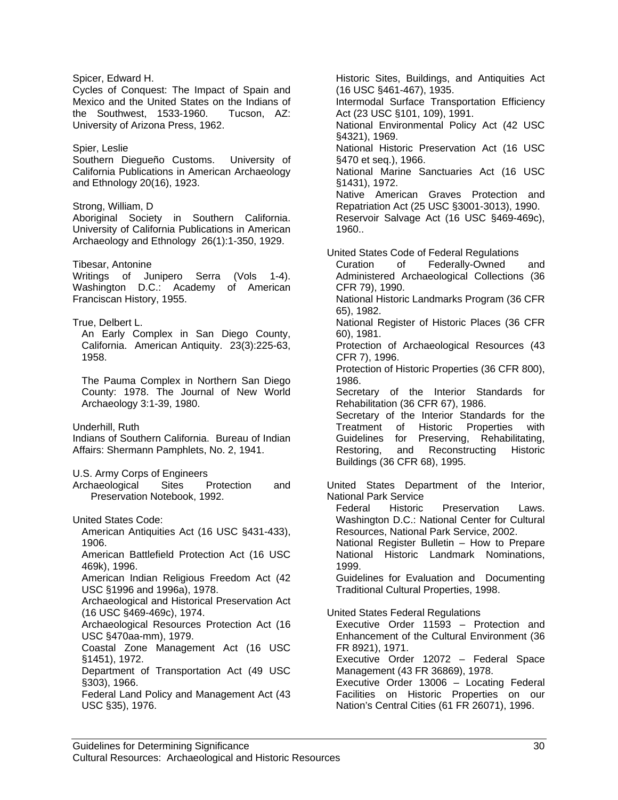Spicer, Edward H. Cycles of Conquest: The Impact of Spain and Mexico and the United States on the Indians of<br>the Southwest, 1533-1960. Tucson. AZ: the Southwest, 1533-1960. University of Arizona Press, 1962. Spier, Leslie Southern Diegueño Customs. University of California Publications in American Archaeology and Ethnology 20(16), 1923. Strong, William, D Aboriginal Society in Southern California. University of California Publications in American Archaeology and Ethnology 26(1):1-350, 1929. Tibesar, Antonine Writings of Junipero Serra (Vols 1-4). Washington D.C.: Academy of American Franciscan History, 1955. True, Delbert L. An Early Complex in San Diego County, California. American Antiquity. 23(3):225-63, 1958. The Pauma Complex in Northern San Diego County: 1978. The Journal of New World Archaeology 3:1-39, 1980. Underhill, Ruth Indians of Southern California. Bureau of Indian Affairs: Shermann Pamphlets, No. 2, 1941. U.S. Army Corps of Engineers Archaeological Sites Protection and Preservation Notebook, 1992. United States Code: American Antiquities Act (16 USC §431-433), 1906. American Battlefield Protection Act (16 USC 469k), 1996. American Indian Religious Freedom Act (42 USC §1996 and 1996a), 1978. Archaeological and Historical Preservation Act (16 USC §469-469c), 1974. Archaeological Resources Protection Act (16 USC §470aa-mm), 1979. Coastal Zone Management Act (16 USC §1451), 1972. Department of Transportation Act (49 USC §303), 1966. Federal Land Policy and Management Act (43 USC §35), 1976.

Historic Sites, Buildings, and Antiquities Act (16 USC §461-467), 1935. Intermodal Surface Transportation Efficiency Act (23 USC §101, 109), 1991. National Environmental Policy Act (42 USC §4321), 1969. National Historic Preservation Act (16 USC §470 et seq.), 1966. National Marine Sanctuaries Act (16 USC §1431), 1972. Native American Graves Protection and Repatriation Act (25 USC §3001-3013), 1990. Reservoir Salvage Act (16 USC §469-469c), 1960.. United States Code of Federal Regulations Curation of Federally-Owned and Administered Archaeological Collections (36 CFR 79), 1990. National Historic Landmarks Program (36 CFR 65), 1982. National Register of Historic Places (36 CFR 60), 1981. Protection of Archaeological Resources (43 CFR 7), 1996. Protection of Historic Properties (36 CFR 800), 1986. Secretary of the Interior Standards for Rehabilitation (36 CFR 67), 1986. Secretary of the Interior Standards for the Treatment of Historic Properties with Guidelines for Preserving, Rehabilitating, Restoring, and Reconstructing Historic Buildings (36 CFR 68), 1995. United States Department of the Interior, National Park Service Federal Historic Preservation Laws. Washington D.C.: National Center for Cultural Resources, National Park Service, 2002. National Register Bulletin – How to Prepare National Historic Landmark Nominations, 1999. Guidelines for Evaluation and Documenting Traditional Cultural Properties, 1998. United States Federal Regulations Executive Order 11593 – Protection and Enhancement of the Cultural Environment (36 FR 8921), 1971. Executive Order 12072 – Federal Space Management (43 FR 36869), 1978. Executive Order 13006 – Locating Federal Facilities on Historic Properties on our

Nation's Central Cities (61 FR 26071), 1996.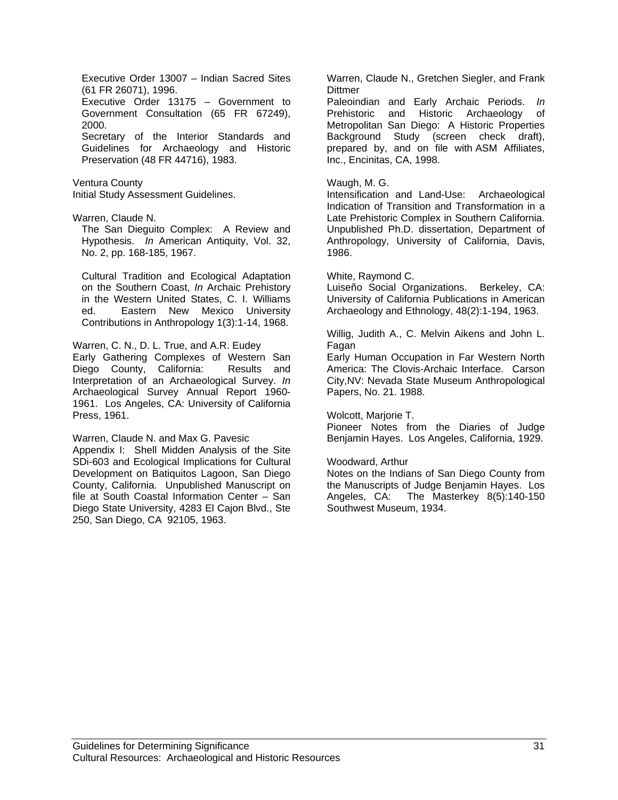Executive Order 13007 – Indian Sacred Sites (61 FR 26071), 1996. Executive Order 13175 – Government to Government Consultation (65 FR 67249), 2000. Secretary of the Interior Standards and Guidelines for Archaeology and Historic Preservation (48 FR 44716), 1983.

Ventura County Initial Study Assessment Guidelines.

Warren, Claude N.

The San Dieguito Complex: A Review and Hypothesis. *In* American Antiquity, Vol. 32, No. 2, pp. 168-185, 1967.

Cultural Tradition and Ecological Adaptation on the Southern Coast, *In* Archaic Prehistory in the Western United States, C. I. Williams ed. Eastern New Mexico University Contributions in Anthropology 1(3):1-14, 1968.

Warren, C. N., D. L. True, and A.R. Eudey

Early Gathering Complexes of Western San Diego County, California: Results and Interpretation of an Archaeological Survey. *In* Archaeological Survey Annual Report 1960- 1961. Los Angeles, CA: University of California Press, 1961.

Warren, Claude N. and Max G. Pavesic

Appendix I: Shell Midden Analysis of the Site SDi-603 and Ecological Implications for Cultural Development on Batiquitos Lagoon, San Diego County, California. Unpublished Manuscript on file at South Coastal Information Center – San Diego State University, 4283 El Cajon Blvd., Ste 250, San Diego, CA 92105, 1963.

Warren, Claude N., Gretchen Siegler, and Frank **Dittmer** 

Paleoindian and Early Archaic Periods. *In* Prehistoric and Historic Archaeology of Metropolitan San Diego: A Historic Properties Background Study (screen check draft), prepared by, and on file with ASM Affiliates, Inc., Encinitas, CA, 1998.

#### Waugh, M. G.

Intensification and Land-Use: Archaeological Indication of Transition and Transformation in a Late Prehistoric Complex in Southern California. Unpublished Ph.D. dissertation, Department of Anthropology, University of California, Davis, 1986.

#### White, Raymond C.

Luiseño Social Organizations. Berkeley, CA: University of California Publications in American Archaeology and Ethnology, 48(2):1-194, 1963.

Willig, Judith A., C. Melvin Aikens and John L. Fagan

Early Human Occupation in Far Western North America: The Clovis-Archaic Interface. Carson City,NV: Nevada State Museum Anthropological Papers, No. 21. 1988.

#### Wolcott, Marjorie T.

Pioneer Notes from the Diaries of Judge Benjamin Hayes. Los Angeles, California, 1929.

#### Woodward, Arthur

Notes on the Indians of San Diego County from the Manuscripts of Judge Benjamin Hayes. Los Angeles, CA: The Masterkey 8(5):140-150 Southwest Museum, 1934.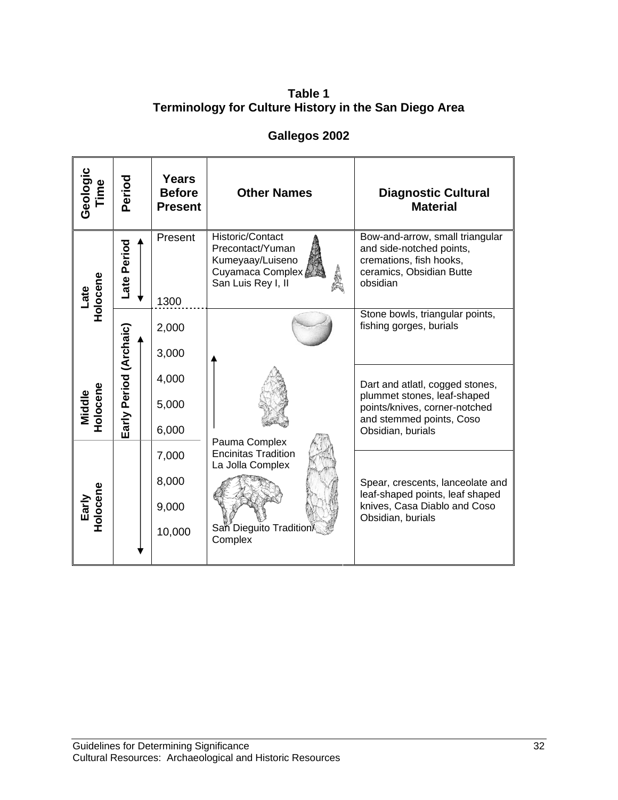**Table 1 Terminology for Culture History in the San Diego Area** 

# **Gallegos 2002**

| Geologic<br>Time   | Period                    | <b>Years</b><br><b>Before</b><br><b>Present</b> | <b>Other Names</b>                                                                                 | <b>Diagnostic Cultural</b><br><b>Material</b>                                                                                                    |
|--------------------|---------------------------|-------------------------------------------------|----------------------------------------------------------------------------------------------------|--------------------------------------------------------------------------------------------------------------------------------------------------|
| Holocene<br>Late   | Period<br>Late            | Present<br>1300                                 | Historic/Contact<br>Precontact/Yuman<br>Kumeyaay/Luiseno<br>Cuyamaca Complex<br>San Luis Rey I, II | Bow-and-arrow, small triangular<br>and side-notched points,<br>cremations, fish hooks,<br>ceramics, Obsidian Butte<br>obsidian                   |
|                    |                           | 2,000<br>3,000                                  |                                                                                                    | Stone bowls, triangular points,<br>fishing gorges, burials                                                                                       |
| Holocene<br>Middle | Period (Archaic)<br>Early | 4,000<br>5,000<br>6,000                         | Pauma Complex                                                                                      | Dart and atlatl, cogged stones,<br>plummet stones, leaf-shaped<br>points/knives, corner-notched<br>and stemmed points, Coso<br>Obsidian, burials |
| Holocene<br>Early  |                           | 7,000<br>8,000<br>9,000<br>10,000               | <b>Encinitas Tradition</b><br>La Jolla Complex<br>San Dieguito Tradition<br>Complex                | Spear, crescents, lanceolate and<br>leaf-shaped points, leaf shaped<br>knives, Casa Diablo and Coso<br>Obsidian, burials                         |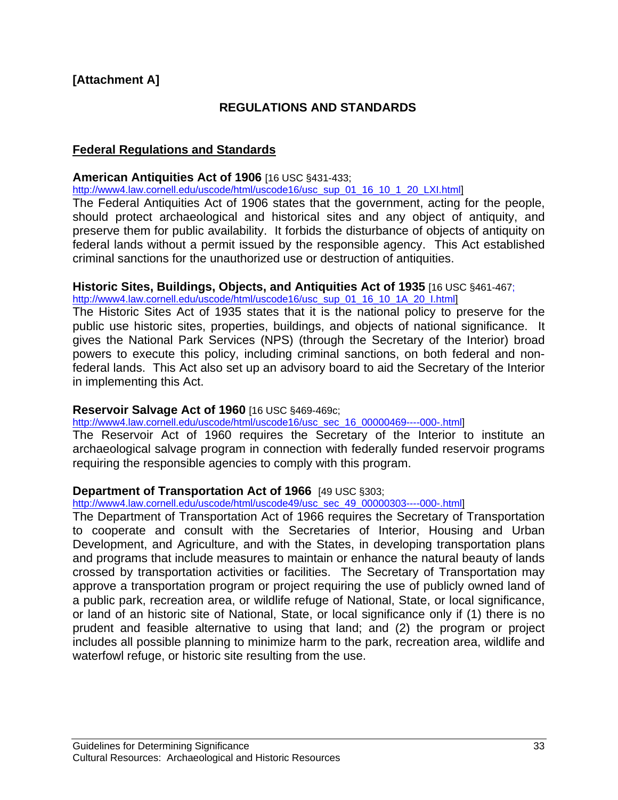# **[Attachment A]**

# **REGULATIONS AND STANDARDS**

### **Federal Regulations and Standards**

### **American Antiquities Act of 1906** [16 USC §431-433;

http://www4.law.cornell.edu/uscode/html/uscode16/usc\_sup\_01\_16\_10\_1\_20\_LXI.html]

The Federal Antiquities Act of 1906 states that the government, acting for the people, should protect archaeological and historical sites and any object of antiquity, and preserve them for public availability. It forbids the disturbance of objects of antiquity on federal lands without a permit issued by the responsible agency. This Act established criminal sanctions for the unauthorized use or destruction of antiquities.

### **Historic Sites, Buildings, Objects, and Antiquities Act of 1935** [16 USC §461-467;

http://www4.law.cornell.edu/uscode/html/uscode16/usc\_sup\_01\_16\_10\_1A\_20\_I.html

The Historic Sites Act of 1935 states that it is the national policy to preserve for the public use historic sites, properties, buildings, and objects of national significance. It gives the National Park Services (NPS) (through the Secretary of the Interior) broad powers to execute this policy, including criminal sanctions, on both federal and nonfederal lands. This Act also set up an advisory board to aid the Secretary of the Interior in implementing this Act.

### **Reservoir Salvage Act of 1960** [16 USC §469-469c;

http://www4.law.cornell.edu/uscode/html/uscode16/usc\_sec\_16\_00000469----000-.html]

The Reservoir Act of 1960 requires the Secretary of the Interior to institute an archaeological salvage program in connection with federally funded reservoir programs requiring the responsible agencies to comply with this program.

### **Department of Transportation Act of 1966** [49 USC §303;

http://www4.law.cornell.edu/uscode/html/uscode49/usc\_sec\_49\_00000303----000-.html]

The Department of Transportation Act of 1966 requires the Secretary of Transportation to cooperate and consult with the Secretaries of Interior, Housing and Urban Development, and Agriculture, and with the States, in developing transportation plans and programs that include measures to maintain or enhance the natural beauty of lands crossed by transportation activities or facilities. The Secretary of Transportation may approve a transportation program or project requiring the use of publicly owned land of a public park, recreation area, or wildlife refuge of National, State, or local significance, or land of an historic site of National, State, or local significance only if (1) there is no prudent and feasible alternative to using that land; and (2) the program or project includes all possible planning to minimize harm to the park, recreation area, wildlife and waterfowl refuge, or historic site resulting from the use.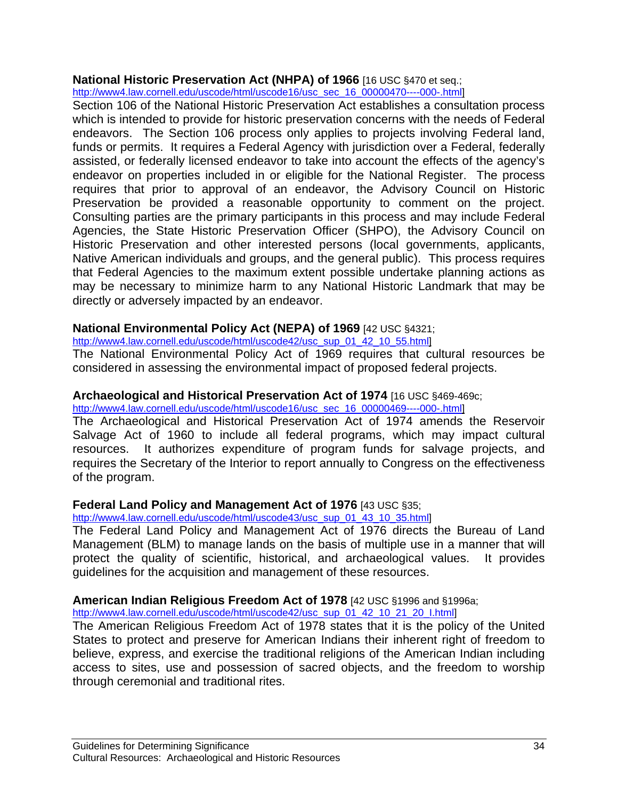# **National Historic Preservation Act (NHPA) of 1966** [16 USC §470 et seq.;

http://www4.law.cornell.edu/uscode/html/uscode16/usc\_sec\_16\_00000470----000-.html]

Section 106 of the National Historic Preservation Act establishes a consultation process which is intended to provide for historic preservation concerns with the needs of Federal endeavors. The Section 106 process only applies to projects involving Federal land, funds or permits. It requires a Federal Agency with jurisdiction over a Federal, federally assisted, or federally licensed endeavor to take into account the effects of the agency's endeavor on properties included in or eligible for the National Register. The process requires that prior to approval of an endeavor, the Advisory Council on Historic Preservation be provided a reasonable opportunity to comment on the project. Consulting parties are the primary participants in this process and may include Federal Agencies, the State Historic Preservation Officer (SHPO), the Advisory Council on Historic Preservation and other interested persons (local governments, applicants, Native American individuals and groups, and the general public). This process requires that Federal Agencies to the maximum extent possible undertake planning actions as may be necessary to minimize harm to any National Historic Landmark that may be directly or adversely impacted by an endeavor.

# **National Environmental Policy Act (NEPA) of 1969** [42 USC §4321;

http://www4.law.cornell.edu/uscode/html/uscode42/usc\_sup\_01\_42\_10\_55.html

The National Environmental Policy Act of 1969 requires that cultural resources be considered in assessing the environmental impact of proposed federal projects.

# **Archaeological and Historical Preservation Act of 1974** [16 USC §469-469c;

http://www4.law.cornell.edu/uscode/html/uscode16/usc\_sec\_16\_00000469----000-.html

The Archaeological and Historical Preservation Act of 1974 amends the Reservoir Salvage Act of 1960 to include all federal programs, which may impact cultural resources. It authorizes expenditure of program funds for salvage projects, and requires the Secretary of the Interior to report annually to Congress on the effectiveness of the program.

# **Federal Land Policy and Management Act of 1976** [43 USC §35;

http://www4.law.cornell.edu/uscode/html/uscode43/usc\_sup\_01\_43\_10\_35.html]

The Federal Land Policy and Management Act of 1976 directs the Bureau of Land Management (BLM) to manage lands on the basis of multiple use in a manner that will protect the quality of scientific, historical, and archaeological values. It provides guidelines for the acquisition and management of these resources.

# **American Indian Religious Freedom Act of 1978** [42 USC §1996 and §1996a;

http://www4.law.cornell.edu/uscode/html/uscode42/usc\_sup\_01\_42\_10\_21\_20\_I.html]

The American Religious Freedom Act of 1978 states that it is the policy of the United States to protect and preserve for American Indians their inherent right of freedom to believe, express, and exercise the traditional religions of the American Indian including access to sites, use and possession of sacred objects, and the freedom to worship through ceremonial and traditional rites.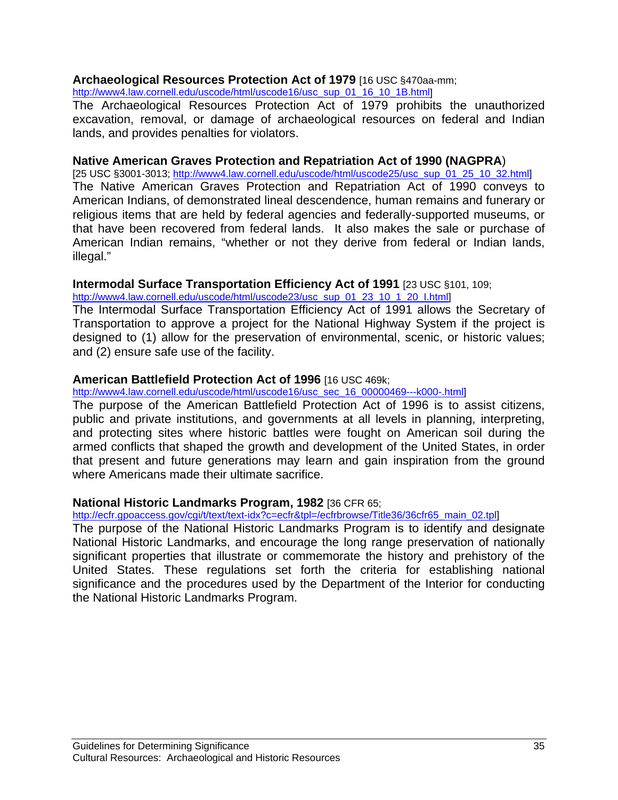### **Archaeological Resources Protection Act of 1979** [16 USC §470aa-mm;

http://www4.law.cornell.edu/uscode/html/uscode16/usc\_sup\_01\_16\_10\_1B.html]

The Archaeological Resources Protection Act of 1979 prohibits the unauthorized excavation, removal, or damage of archaeological resources on federal and Indian lands, and provides penalties for violators.

# **Native American Graves Protection and Repatriation Act of 1990 (NAGPRA**)

[25 USC §3001-3013; http://www4.law.cornell.edu/uscode/html/uscode25/usc\_sup\_01\_25\_10\_32.html] The Native American Graves Protection and Repatriation Act of 1990 conveys to American Indians, of demonstrated lineal descendence, human remains and funerary or religious items that are held by federal agencies and federally-supported museums, or that have been recovered from federal lands. It also makes the sale or purchase of American Indian remains, "whether or not they derive from federal or Indian lands, illegal."

### **Intermodal Surface Transportation Efficiency Act of 1991** [23 USC §101, 109;

http://www4.law.cornell.edu/uscode/html/uscode23/usc\_sup\_01\_23\_10\_1\_20\_I.html]

The Intermodal Surface Transportation Efficiency Act of 1991 allows the Secretary of Transportation to approve a project for the National Highway System if the project is designed to (1) allow for the preservation of environmental, scenic, or historic values; and (2) ensure safe use of the facility.

# **American Battlefield Protection Act of 1996** [16 USC 469k;

http://www4.law.cornell.edu/uscode/html/uscode16/usc\_sec\_16\_00000469---k000-.html]

The purpose of the American Battlefield Protection Act of 1996 is to assist citizens, public and private institutions, and governments at all levels in planning, interpreting, and protecting sites where historic battles were fought on American soil during the armed conflicts that shaped the growth and development of the United States, in order that present and future generations may learn and gain inspiration from the ground where Americans made their ultimate sacrifice.

### **National Historic Landmarks Program, 1982** [36 CFR 65;

http://ecfr.gpoaccess.gov/cgi/t/text/text-idx?c=ecfr&tpl=/ecfrbrowse/Title36/36cfr65\_main\_02.tpl]

The purpose of the National Historic Landmarks Program is to identify and designate National Historic Landmarks, and encourage the long range preservation of nationally significant properties that illustrate or commemorate the history and prehistory of the United States. These regulations set forth the criteria for establishing national significance and the procedures used by the Department of the Interior for conducting the National Historic Landmarks Program.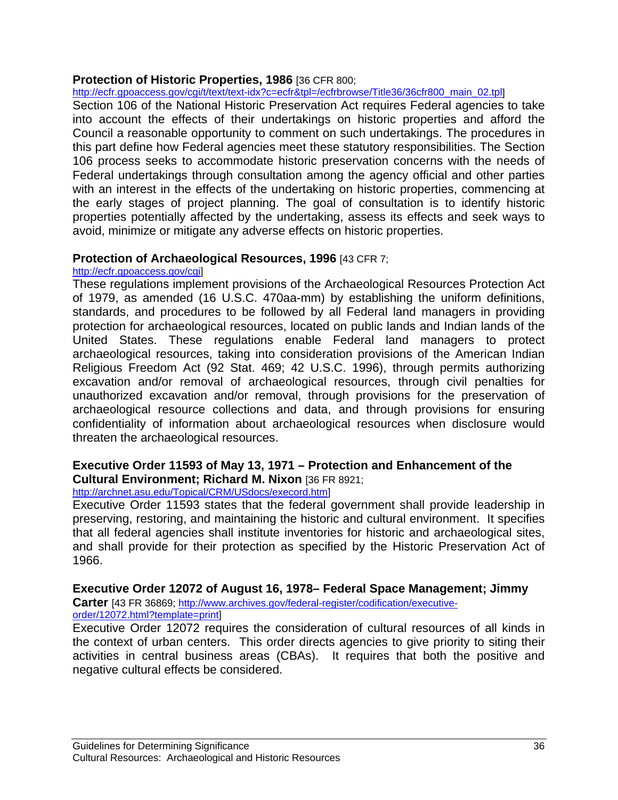# **Protection of Historic Properties, 1986** [36 CFR 800;

http://ecfr.gpoaccess.gov/cgi/t/text/text-idx?c=ecfr&tpl=/ecfrbrowse/Title36/36cfr800\_main\_02.tpl]

Section 106 of the National Historic Preservation Act requires Federal agencies to take into account the effects of their undertakings on historic properties and afford the Council a reasonable opportunity to comment on such undertakings. The procedures in this part define how Federal agencies meet these statutory responsibilities. The Section 106 process seeks to accommodate historic preservation concerns with the needs of Federal undertakings through consultation among the agency official and other parties with an interest in the effects of the undertaking on historic properties, commencing at the early stages of project planning. The goal of consultation is to identify historic properties potentially affected by the undertaking, assess its effects and seek ways to avoid, minimize or mitigate any adverse effects on historic properties.

# **Protection of Archaeological Resources, 1996** [43 CFR 7;

### http://ecfr.gpoaccess.gov/cgi]

These regulations implement provisions of the Archaeological Resources Protection Act of 1979, as amended (16 U.S.C. 470aa-mm) by establishing the uniform definitions, standards, and procedures to be followed by all Federal land managers in providing protection for archaeological resources, located on public lands and Indian lands of the United States. These regulations enable Federal land managers to protect archaeological resources, taking into consideration provisions of the American Indian Religious Freedom Act (92 Stat. 469; 42 U.S.C. 1996), through permits authorizing excavation and/or removal of archaeological resources, through civil penalties for unauthorized excavation and/or removal, through provisions for the preservation of archaeological resource collections and data, and through provisions for ensuring confidentiality of information about archaeological resources when disclosure would threaten the archaeological resources.

### **Executive Order 11593 of May 13, 1971 – Protection and Enhancement of the Cultural Environment; Richard M. Nixon** [36 FR 8921;

# http://archnet.asu.edu/Topical/CRM/USdocs/execord.htm]

Executive Order 11593 states that the federal government shall provide leadership in preserving, restoring, and maintaining the historic and cultural environment. It specifies that all federal agencies shall institute inventories for historic and archaeological sites, and shall provide for their protection as specified by the Historic Preservation Act of 1966.

# **Executive Order 12072 of August 16, 1978– Federal Space Management; Jimmy**

**Carter** [43 FR 36869; http://www.archives.gov/federal-register/codification/executiveorder/12072.html?template=print]

Executive Order 12072 requires the consideration of cultural resources of all kinds in the context of urban centers. This order directs agencies to give priority to siting their activities in central business areas (CBAs). It requires that both the positive and negative cultural effects be considered.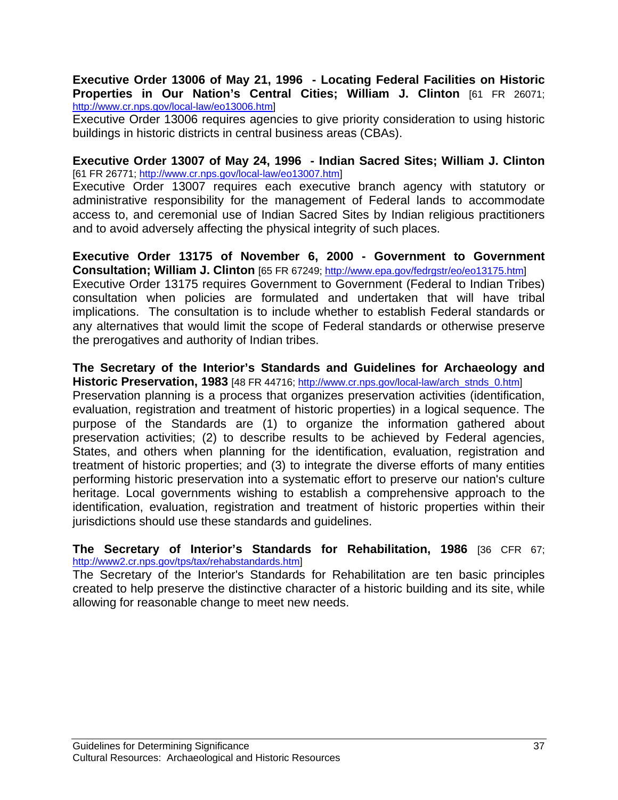### **Executive Order 13006 of May 21, 1996 - Locating Federal Facilities on Historic Properties in Our Nation's Central Cities; William J. Clinton** [61 FR 26071; http://www.cr.nps.gov/local-law/eo13006.htm]

Executive Order 13006 requires agencies to give priority consideration to using historic buildings in historic districts in central business areas (CBAs).

### **Executive Order 13007 of May 24, 1996 - Indian Sacred Sites; William J. Clinton** [61 FR 26771; http://www.cr.nps.gov/local-law/eo13007.htm]

Executive Order 13007 requires each executive branch agency with statutory or administrative responsibility for the management of Federal lands to accommodate access to, and ceremonial use of Indian Sacred Sites by Indian religious practitioners and to avoid adversely affecting the physical integrity of such places.

# **Executive Order 13175 of November 6, 2000 - Government to Government Consultation; William J. Clinton** [65 FR 67249; http://www.epa.gov/fedrgstr/eo/eo13175.htm]

Executive Order 13175 requires Government to Government (Federal to Indian Tribes) consultation when policies are formulated and undertaken that will have tribal implications. The consultation is to include whether to establish Federal standards or any alternatives that would limit the scope of Federal standards or otherwise preserve the prerogatives and authority of Indian tribes.

### **The Secretary of the Interior's Standards and Guidelines for Archaeology and Historic Preservation, 1983** [48 FR 44716; http://www.cr.nps.gov/local-law/arch\_stnds\_0.htm]

Preservation planning is a process that organizes preservation activities (identification, evaluation, registration and treatment of historic properties) in a logical sequence. The purpose of the Standards are (1) to organize the information gathered about preservation activities; (2) to describe results to be achieved by Federal agencies, States, and others when planning for the identification, evaluation, registration and treatment of historic properties; and (3) to integrate the diverse efforts of many entities performing historic preservation into a systematic effort to preserve our nation's culture heritage. Local governments wishing to establish a comprehensive approach to the identification, evaluation, registration and treatment of historic properties within their jurisdictions should use these standards and guidelines.

### **The Secretary of Interior's Standards for Rehabilitation, 1986** [36 CFR 67; http://www2.cr.nps.gov/tps/tax/rehabstandards.htm]

The Secretary of the Interior's Standards for Rehabilitation are ten basic principles created to help preserve the distinctive character of a historic building and its site, while allowing for reasonable change to meet new needs.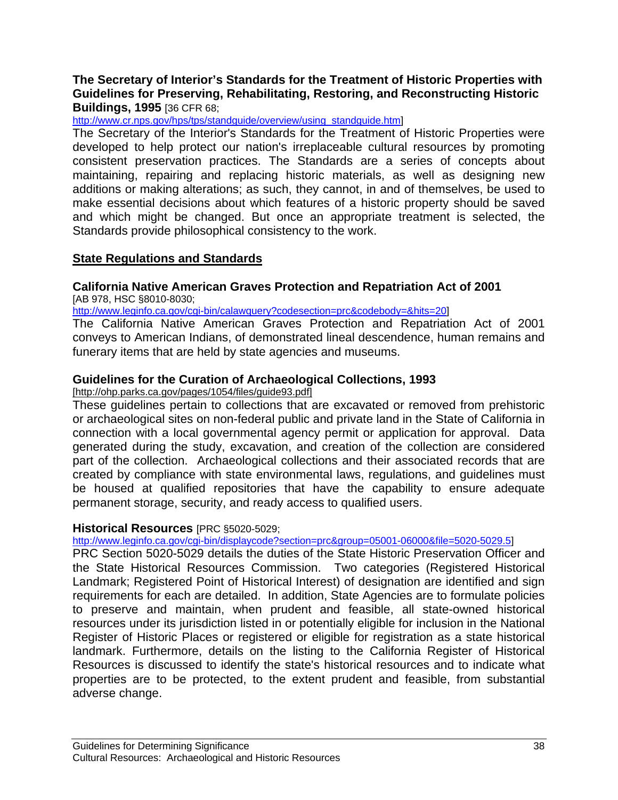# **The Secretary of Interior's Standards for the Treatment of Historic Properties with Guidelines for Preserving, Rehabilitating, Restoring, and Reconstructing Historic Buildings, 1995** [36 CFR 68;

http://www.cr.nps.gov/hps/tps/standguide/overview/using\_standquide.html

The Secretary of the Interior's Standards for the Treatment of Historic Properties were developed to help protect our nation's irreplaceable cultural resources by promoting consistent preservation practices. The Standards are a series of concepts about maintaining, repairing and replacing historic materials, as well as designing new additions or making alterations; as such, they cannot, in and of themselves, be used to make essential decisions about which features of a historic property should be saved and which might be changed. But once an appropriate treatment is selected, the Standards provide philosophical consistency to the work.

# **State Regulations and Standards**

#### **California Native American Graves Protection and Repatriation Act of 2001**  [AB 978, HSC §8010-8030;

http://www.leginfo.ca.gov/cgi-bin/calawquery?codesection=prc&codebody=&hits=20]

The California Native American Graves Protection and Repatriation Act of 2001 conveys to American Indians, of demonstrated lineal descendence, human remains and funerary items that are held by state agencies and museums.

# **Guidelines for the Curation of Archaeological Collections, 1993**

[http://ohp.parks.ca.gov/pages/1054/files/guide93.pdf]

These guidelines pertain to collections that are excavated or removed from prehistoric or archaeological sites on non-federal public and private land in the State of California in connection with a local governmental agency permit or application for approval. Data generated during the study, excavation, and creation of the collection are considered part of the collection. Archaeological collections and their associated records that are created by compliance with state environmental laws, regulations, and guidelines must be housed at qualified repositories that have the capability to ensure adequate permanent storage, security, and ready access to qualified users.

### **Historical Resources** [PRC §5020-5029;

http://www.leginfo.ca.gov/cgi-bin/displaycode?section=prc&group=05001-06000&file=5020-5029.5]

PRC Section 5020-5029 details the duties of the State Historic Preservation Officer and the State Historical Resources Commission. Two categories (Registered Historical Landmark; Registered Point of Historical Interest) of designation are identified and sign requirements for each are detailed. In addition, State Agencies are to formulate policies to preserve and maintain, when prudent and feasible, all state-owned historical resources under its jurisdiction listed in or potentially eligible for inclusion in the National Register of Historic Places or registered or eligible for registration as a state historical landmark. Furthermore, details on the listing to the California Register of Historical Resources is discussed to identify the state's historical resources and to indicate what properties are to be protected, to the extent prudent and feasible, from substantial adverse change.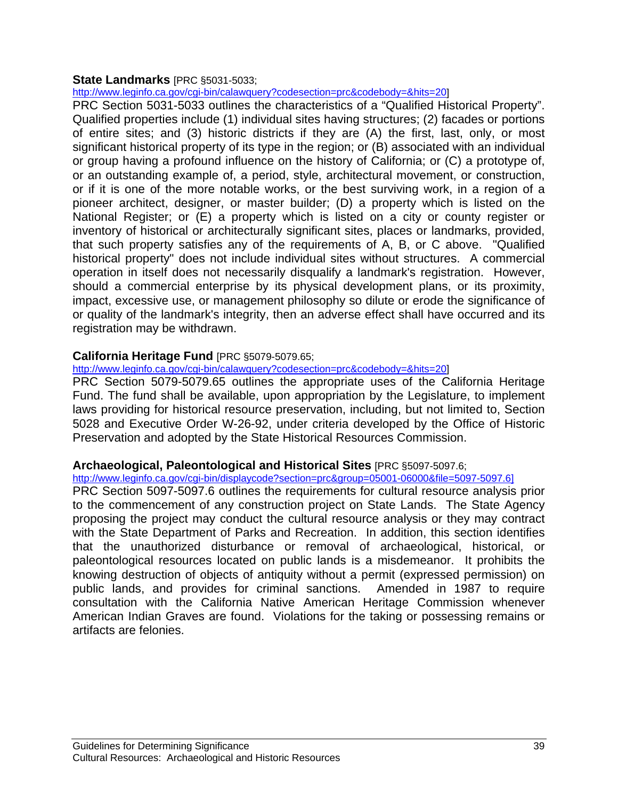### **State Landmarks** [PRC §5031-5033;

http://www.leginfo.ca.gov/cgi-bin/calawquery?codesection=prc&codebody=&hits=20]

PRC Section 5031-5033 outlines the characteristics of a "Qualified Historical Property". Qualified properties include (1) individual sites having structures; (2) facades or portions of entire sites; and (3) historic districts if they are (A) the first, last, only, or most significant historical property of its type in the region; or (B) associated with an individual or group having a profound influence on the history of California; or (C) a prototype of, or an outstanding example of, a period, style, architectural movement, or construction, or if it is one of the more notable works, or the best surviving work, in a region of a pioneer architect, designer, or master builder; (D) a property which is listed on the National Register; or (E) a property which is listed on a city or county register or inventory of historical or architecturally significant sites, places or landmarks, provided, that such property satisfies any of the requirements of A, B, or C above. "Qualified historical property" does not include individual sites without structures. A commercial operation in itself does not necessarily disqualify a landmark's registration. However, should a commercial enterprise by its physical development plans, or its proximity, impact, excessive use, or management philosophy so dilute or erode the significance of or quality of the landmark's integrity, then an adverse effect shall have occurred and its registration may be withdrawn.

# **California Heritage Fund** [PRC §5079-5079.65;

http://www.leginfo.ca.gov/cgi-bin/calawquery?codesection=prc&codebody=&hits=20]

PRC Section 5079-5079.65 outlines the appropriate uses of the California Heritage Fund. The fund shall be available, upon appropriation by the Legislature, to implement laws providing for historical resource preservation, including, but not limited to, Section 5028 and Executive Order W-26-92, under criteria developed by the Office of Historic Preservation and adopted by the State Historical Resources Commission.

# **Archaeological, Paleontological and Historical Sites** [PRC §5097-5097.6;

http://www.leginfo.ca.gov/cgi-bin/displaycode?section=prc&group=05001-06000&file=5097-5097.6]

PRC Section 5097-5097.6 outlines the requirements for cultural resource analysis prior to the commencement of any construction project on State Lands. The State Agency proposing the project may conduct the cultural resource analysis or they may contract with the State Department of Parks and Recreation. In addition, this section identifies that the unauthorized disturbance or removal of archaeological, historical, or paleontological resources located on public lands is a misdemeanor. It prohibits the knowing destruction of objects of antiquity without a permit (expressed permission) on public lands, and provides for criminal sanctions. Amended in 1987 to require consultation with the California Native American Heritage Commission whenever American Indian Graves are found. Violations for the taking or possessing remains or artifacts are felonies.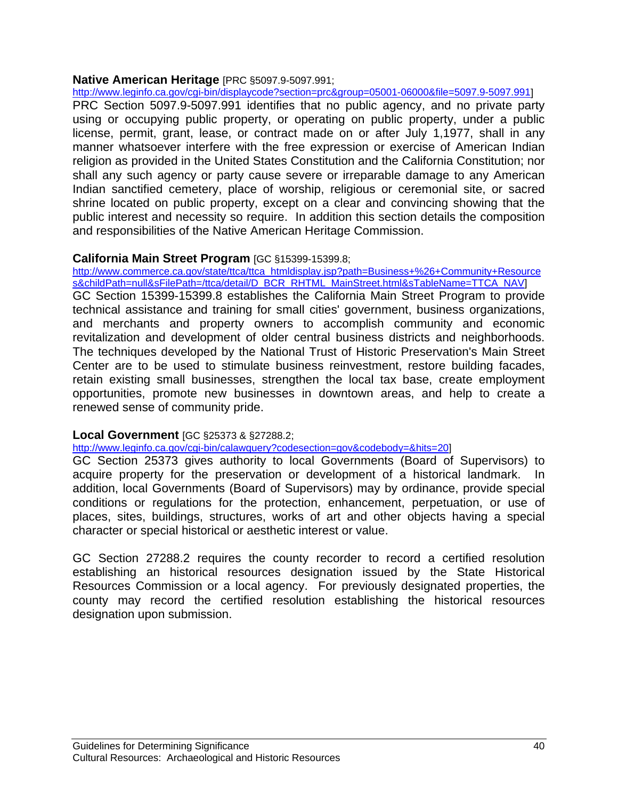### **Native American Heritage** [PRC §5097.9-5097.991;

http://www.leginfo.ca.gov/cgi-bin/displaycode?section=prc&group=05001-06000&file=5097.9-5097.991]

PRC Section 5097.9-5097.991 identifies that no public agency, and no private party using or occupying public property, or operating on public property, under a public license, permit, grant, lease, or contract made on or after July 1,1977, shall in any manner whatsoever interfere with the free expression or exercise of American Indian religion as provided in the United States Constitution and the California Constitution; nor shall any such agency or party cause severe or irreparable damage to any American Indian sanctified cemetery, place of worship, religious or ceremonial site, or sacred shrine located on public property, except on a clear and convincing showing that the public interest and necessity so require. In addition this section details the composition and responsibilities of the Native American Heritage Commission.

### **California Main Street Program** [GC §15399-15399.8;

http://www.commerce.ca.gov/state/ttca/ttca\_htmldisplay.jsp?path=Business+%26+Community+Resource s&childPath=null&sFilePath=/ttca/detail/D\_BCR\_RHTML\_MainStreet.html&sTableName=TTCA\_NAV] GC Section 15399-15399.8 establishes the California Main Street Program to provide technical assistance and training for small cities' government, business organizations, and merchants and property owners to accomplish community and economic revitalization and development of older central business districts and neighborhoods. The techniques developed by the National Trust of Historic Preservation's Main Street Center are to be used to stimulate business reinvestment, restore building facades, retain existing small businesses, strengthen the local tax base, create employment opportunities, promote new businesses in downtown areas, and help to create a renewed sense of community pride.

### **Local Government** [GC §25373 & §27288.2;

http://www.leginfo.ca.gov/cgi-bin/calawquery?codesection=gov&codebody=&hits=20]

GC Section 25373 gives authority to local Governments (Board of Supervisors) to acquire property for the preservation or development of a historical landmark. In addition, local Governments (Board of Supervisors) may by ordinance, provide special conditions or regulations for the protection, enhancement, perpetuation, or use of places, sites, buildings, structures, works of art and other objects having a special character or special historical or aesthetic interest or value.

GC Section 27288.2 requires the county recorder to record a certified resolution establishing an historical resources designation issued by the State Historical Resources Commission or a local agency. For previously designated properties, the county may record the certified resolution establishing the historical resources designation upon submission.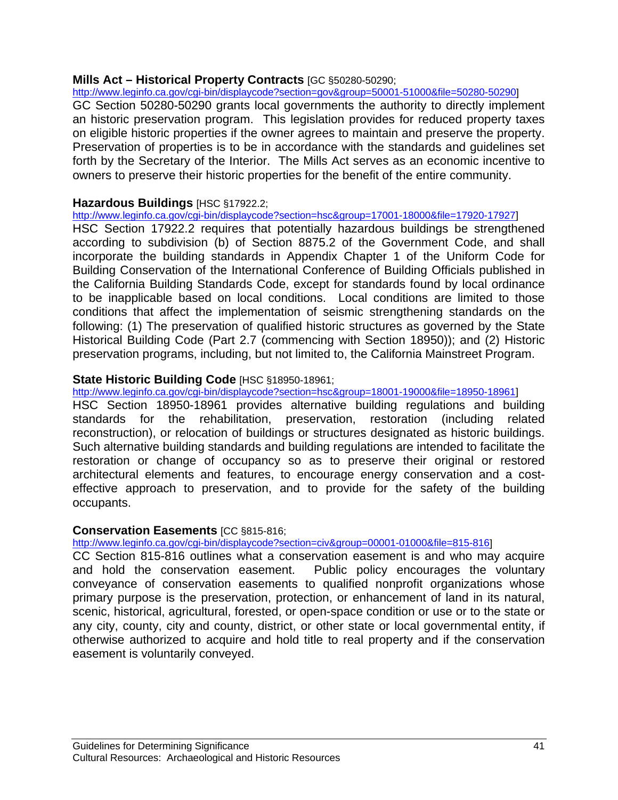### **Mills Act – Historical Property Contracts** [GC §50280-50290;

http://www.leginfo.ca.gov/cgi-bin/displaycode?section=gov&group=50001-51000&file=50280-50290]

GC Section 50280-50290 grants local governments the authority to directly implement an historic preservation program. This legislation provides for reduced property taxes on eligible historic properties if the owner agrees to maintain and preserve the property. Preservation of properties is to be in accordance with the standards and guidelines set forth by the Secretary of the Interior. The Mills Act serves as an economic incentive to owners to preserve their historic properties for the benefit of the entire community.

## **Hazardous Buildings** [HSC §17922.2;

http://www.leginfo.ca.gov/cgi-bin/displaycode?section=hsc&group=17001-18000&file=17920-17927]

HSC Section 17922.2 requires that potentially hazardous buildings be strengthened according to subdivision (b) of Section 8875.2 of the Government Code, and shall incorporate the building standards in Appendix Chapter 1 of the Uniform Code for Building Conservation of the International Conference of Building Officials published in the California Building Standards Code, except for standards found by local ordinance to be inapplicable based on local conditions. Local conditions are limited to those conditions that affect the implementation of seismic strengthening standards on the following: (1) The preservation of qualified historic structures as governed by the State Historical Building Code (Part 2.7 (commencing with Section 18950)); and (2) Historic preservation programs, including, but not limited to, the California Mainstreet Program.

### **State Historic Building Code** [HSC §18950-18961;

http://www.leginfo.ca.gov/cgi-bin/displaycode?section=hsc&group=18001-19000&file=18950-18961] HSC Section 18950-18961 provides alternative building regulations and building standards for the rehabilitation, preservation, restoration (including related reconstruction), or relocation of buildings or structures designated as historic buildings. Such alternative building standards and building regulations are intended to facilitate the restoration or change of occupancy so as to preserve their original or restored architectural elements and features, to encourage energy conservation and a costeffective approach to preservation, and to provide for the safety of the building occupants.

### **Conservation Easements** [CC §815-816;

http://www.leginfo.ca.gov/cgi-bin/displaycode?section=civ&group=00001-01000&file=815-816]

CC Section 815-816 outlines what a conservation easement is and who may acquire and hold the conservation easement. Public policy encourages the voluntary conveyance of conservation easements to qualified nonprofit organizations whose primary purpose is the preservation, protection, or enhancement of land in its natural, scenic, historical, agricultural, forested, or open-space condition or use or to the state or any city, county, city and county, district, or other state or local governmental entity, if otherwise authorized to acquire and hold title to real property and if the conservation easement is voluntarily conveyed.